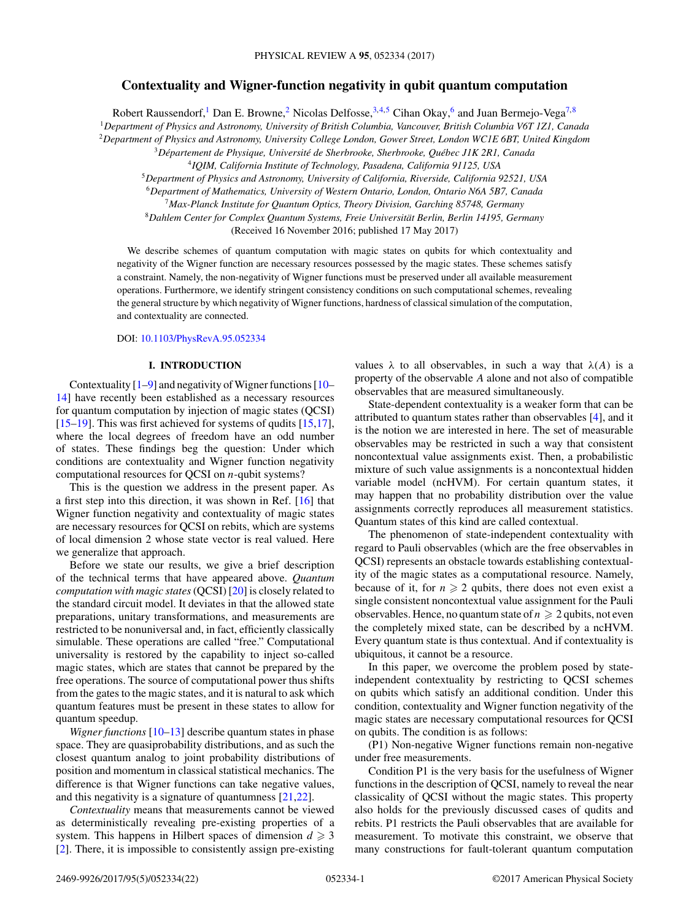# **Contextuality and Wigner-function negativity in qubit quantum computation**

Robert Raussendorf,<sup>1</sup> Dan E. Browne,<sup>2</sup> Nicolas Delfosse,  $3,4,5$  Cihan Okay,<sup>6</sup> and Juan Bermejo-Vega<sup>7,8</sup>

<sup>1</sup>*Department of Physics and Astronomy, University of British Columbia, Vancouver, British Columbia V6T 1Z1, Canada*

<sup>2</sup>*Department of Physics and Astronomy, University College London, Gower Street, London WC1E 6BT, United Kingdom*

<sup>3</sup>*Département de Physique, Université de Sherbrooke, Sherbrooke, Québec J1K 2R1, Canada*

<sup>4</sup>*IQIM, California Institute of Technology, Pasadena, California 91125, USA*

<sup>5</sup>*Department of Physics and Astronomy, University of California, Riverside, California 92521, USA*

<sup>6</sup>*Department of Mathematics, University of Western Ontario, London, Ontario N6A 5B7, Canada*

<sup>7</sup>*Max-Planck Institute for Quantum Optics, Theory Division, Garching 85748, Germany* <sup>8</sup>*Dahlem Center for Complex Quantum Systems, Freie Universität Berlin, Berlin 14195, Germany*

(Received 16 November 2016; published 17 May 2017)

We describe schemes of quantum computation with magic states on qubits for which contextuality and negativity of the Wigner function are necessary resources possessed by the magic states. These schemes satisfy a constraint. Namely, the non-negativity of Wigner functions must be preserved under all available measurement operations. Furthermore, we identify stringent consistency conditions on such computational schemes, revealing the general structure by which negativity of Wigner functions, hardness of classical simulation of the computation, and contextuality are connected.

DOI: [10.1103/PhysRevA.95.052334](https://doi.org/10.1103/PhysRevA.95.052334)

## **I. INTRODUCTION**

Contextuality [\[1](#page-20-0)[–9\]](#page-21-0) and negativity of Wigner functions [\[10–](#page-21-0) [14\]](#page-21-0) have recently been established as a necessary resources for quantum computation by injection of magic states (QCSI) [\[15–19\]](#page-21-0). This was first achieved for systems of qudits [\[15,17\]](#page-21-0), where the local degrees of freedom have an odd number of states. These findings beg the question: Under which conditions are contextuality and Wigner function negativity computational resources for QCSI on *n*-qubit systems?

This is the question we address in the present paper. As a first step into this direction, it was shown in Ref. [\[16\]](#page-21-0) that Wigner function negativity and contextuality of magic states are necessary resources for QCSI on rebits, which are systems of local dimension 2 whose state vector is real valued. Here we generalize that approach.

Before we state our results, we give a brief description of the technical terms that have appeared above. *Quantum computation with magic states*(QCSI) [\[20\]](#page-21-0) is closely related to the standard circuit model. It deviates in that the allowed state preparations, unitary transformations, and measurements are restricted to be nonuniversal and, in fact, efficiently classically simulable. These operations are called "free." Computational universality is restored by the capability to inject so-called magic states, which are states that cannot be prepared by the free operations. The source of computational power thus shifts from the gates to the magic states, and it is natural to ask which quantum features must be present in these states to allow for quantum speedup.

*Wigner functions* [\[10–13\]](#page-21-0) describe quantum states in phase space. They are quasiprobability distributions, and as such the closest quantum analog to joint probability distributions of position and momentum in classical statistical mechanics. The difference is that Wigner functions can take negative values, and this negativity is a signature of quantumness [\[21,22\]](#page-21-0).

*Contextuality* means that measurements cannot be viewed as deterministically revealing pre-existing properties of a system. This happens in Hilbert spaces of dimension  $d \geq 3$ [\[2\]](#page-20-0). There, it is impossible to consistently assign pre-existing

values  $\lambda$  to all observables, in such a way that  $\lambda(A)$  is a property of the observable *A* alone and not also of compatible observables that are measured simultaneously.

State-dependent contextuality is a weaker form that can be attributed to quantum states rather than observables [\[4\]](#page-20-0), and it is the notion we are interested in here. The set of measurable observables may be restricted in such a way that consistent noncontextual value assignments exist. Then, a probabilistic mixture of such value assignments is a noncontextual hidden variable model (ncHVM). For certain quantum states, it may happen that no probability distribution over the value assignments correctly reproduces all measurement statistics. Quantum states of this kind are called contextual.

The phenomenon of state-independent contextuality with regard to Pauli observables (which are the free observables in QCSI) represents an obstacle towards establishing contextuality of the magic states as a computational resource. Namely, because of it, for  $n \geq 2$  qubits, there does not even exist a single consistent noncontextual value assignment for the Pauli observables. Hence, no quantum state of  $n \geqslant 2$  qubits, not even the completely mixed state, can be described by a ncHVM. Every quantum state is thus contextual. And if contextuality is ubiquitous, it cannot be a resource.

In this paper, we overcome the problem posed by stateindependent contextuality by restricting to QCSI schemes on qubits which satisfy an additional condition. Under this condition, contextuality and Wigner function negativity of the magic states are necessary computational resources for QCSI on qubits. The condition is as follows:

(P1) Non-negative Wigner functions remain non-negative under free measurements.

Condition P1 is the very basis for the usefulness of Wigner functions in the description of QCSI, namely to reveal the near classicality of QCSI without the magic states. This property also holds for the previously discussed cases of qudits and rebits. P1 restricts the Pauli observables that are available for measurement. To motivate this constraint, we observe that many constructions for fault-tolerant quantum computation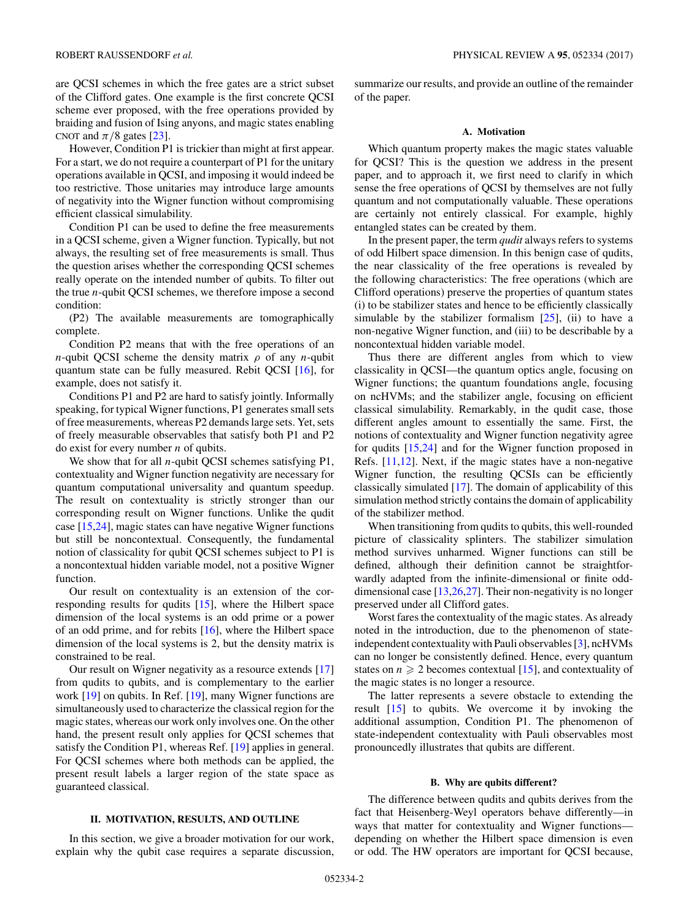are QCSI schemes in which the free gates are a strict subset of the Clifford gates. One example is the first concrete QCSI scheme ever proposed, with the free operations provided by braiding and fusion of Ising anyons, and magic states enabling CNOT and  $\pi/8$  gates [\[23\]](#page-21-0).

However, Condition P1 is trickier than might at first appear. For a start, we do not require a counterpart of P1 for the unitary operations available in QCSI, and imposing it would indeed be too restrictive. Those unitaries may introduce large amounts of negativity into the Wigner function without compromising efficient classical simulability.

Condition P1 can be used to define the free measurements in a QCSI scheme, given a Wigner function. Typically, but not always, the resulting set of free measurements is small. Thus the question arises whether the corresponding QCSI schemes really operate on the intended number of qubits. To filter out the true *n*-qubit QCSI schemes, we therefore impose a second condition:

(P2) The available measurements are tomographically complete.

Condition P2 means that with the free operations of an *n*-qubit QCSI scheme the density matrix *ρ* of any *n*-qubit quantum state can be fully measured. Rebit QCSI [\[16\]](#page-21-0), for example, does not satisfy it.

Conditions P1 and P2 are hard to satisfy jointly. Informally speaking, for typical Wigner functions, P1 generates small sets of free measurements, whereas P2 demands large sets. Yet, sets of freely measurable observables that satisfy both P1 and P2 do exist for every number *n* of qubits.

We show that for all *n*-qubit QCSI schemes satisfying P1, contextuality and Wigner function negativity are necessary for quantum computational universality and quantum speedup. The result on contextuality is strictly stronger than our corresponding result on Wigner functions. Unlike the qudit case [\[15,24\]](#page-21-0), magic states can have negative Wigner functions but still be noncontextual. Consequently, the fundamental notion of classicality for qubit QCSI schemes subject to P1 is a noncontextual hidden variable model, not a positive Wigner function.

Our result on contextuality is an extension of the corresponding results for qudits [\[15\]](#page-21-0), where the Hilbert space dimension of the local systems is an odd prime or a power of an odd prime, and for rebits [\[16\]](#page-21-0), where the Hilbert space dimension of the local systems is 2, but the density matrix is constrained to be real.

Our result on Wigner negativity as a resource extends [\[17\]](#page-21-0) from qudits to qubits, and is complementary to the earlier work [\[19\]](#page-21-0) on qubits. In Ref. [\[19\]](#page-21-0), many Wigner functions are simultaneously used to characterize the classical region for the magic states, whereas our work only involves one. On the other hand, the present result only applies for QCSI schemes that satisfy the Condition P1, whereas Ref. [\[19\]](#page-21-0) applies in general. For QCSI schemes where both methods can be applied, the present result labels a larger region of the state space as guaranteed classical.

## **II. MOTIVATION, RESULTS, AND OUTLINE**

In this section, we give a broader motivation for our work, explain why the qubit case requires a separate discussion,

summarize our results, and provide an outline of the remainder of the paper.

## **A. Motivation**

Which quantum property makes the magic states valuable for QCSI? This is the question we address in the present paper, and to approach it, we first need to clarify in which sense the free operations of QCSI by themselves are not fully quantum and not computationally valuable. These operations are certainly not entirely classical. For example, highly entangled states can be created by them.

In the present paper, the term *qudit* always refers to systems of odd Hilbert space dimension. In this benign case of qudits, the near classicality of the free operations is revealed by the following characteristics: The free operations (which are Clifford operations) preserve the properties of quantum states (i) to be stabilizer states and hence to be efficiently classically simulable by the stabilizer formalism  $[25]$ , (ii) to have a non-negative Wigner function, and (iii) to be describable by a noncontextual hidden variable model.

Thus there are different angles from which to view classicality in QCSI—the quantum optics angle, focusing on Wigner functions; the quantum foundations angle, focusing on ncHVMs; and the stabilizer angle, focusing on efficient classical simulability. Remarkably, in the qudit case, those different angles amount to essentially the same. First, the notions of contextuality and Wigner function negativity agree for qudits [\[15,24\]](#page-21-0) and for the Wigner function proposed in Refs. [\[11,12\]](#page-21-0). Next, if the magic states have a non-negative Wigner function, the resulting QCSIs can be efficiently classically simulated [\[17\]](#page-21-0). The domain of applicability of this simulation method strictly contains the domain of applicability of the stabilizer method.

When transitioning from qudits to qubits, this well-rounded picture of classicality splinters. The stabilizer simulation method survives unharmed. Wigner functions can still be defined, although their definition cannot be straightforwardly adapted from the infinite-dimensional or finite odddimensional case [\[13,26,27\]](#page-21-0). Their non-negativity is no longer preserved under all Clifford gates.

Worst fares the contextuality of the magic states. As already noted in the introduction, due to the phenomenon of stateindependent contextuality with Pauli observables [\[3\]](#page-20-0), ncHVMs can no longer be consistently defined. Hence, every quantum states on  $n \geq 2$  becomes contextual [\[15\]](#page-21-0), and contextuality of the magic states is no longer a resource.

The latter represents a severe obstacle to extending the result [\[15\]](#page-21-0) to qubits. We overcome it by invoking the additional assumption, Condition P1. The phenomenon of state-independent contextuality with Pauli observables most pronouncedly illustrates that qubits are different.

## **B. Why are qubits different?**

The difference between qudits and qubits derives from the fact that Heisenberg-Weyl operators behave differently—in ways that matter for contextuality and Wigner functions depending on whether the Hilbert space dimension is even or odd. The HW operators are important for QCSI because,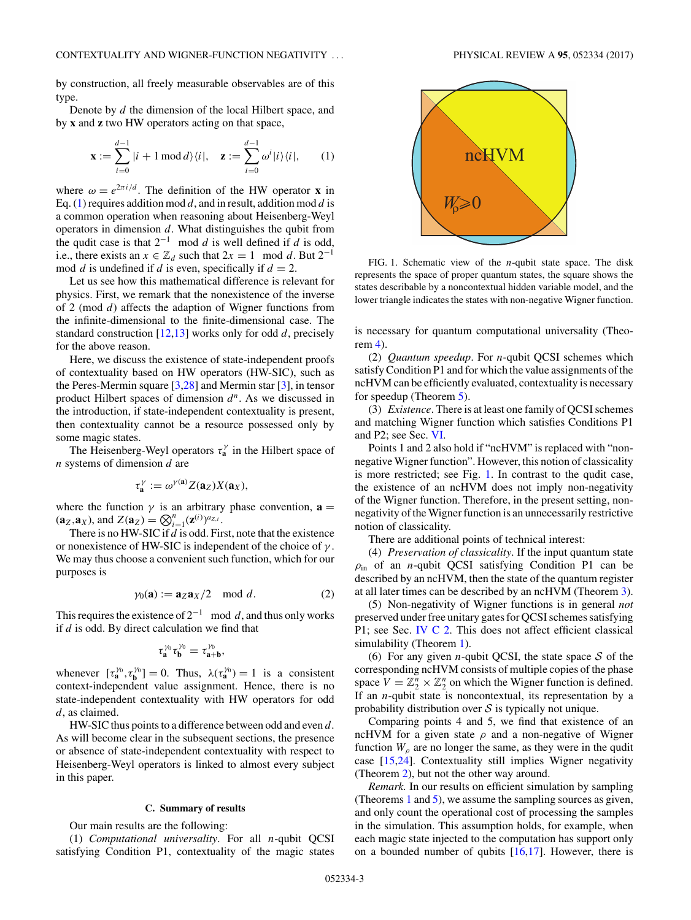by construction, all freely measurable observables are of this type.

Denote by *d* the dimension of the local Hilbert space, and by **x** and **z** two HW operators acting on that space,

$$
\mathbf{x} := \sum_{i=0}^{d-1} |i+1 \mod d\rangle\langle i|, \quad \mathbf{z} := \sum_{i=0}^{d-1} \omega^i |i\rangle\langle i|, \qquad (1)
$$

where  $\omega = e^{2\pi i/d}$ . The definition of the HW operator **x** in Eq. (1) requires addition mod *d*, and in result, addition mod *d* is a common operation when reasoning about Heisenberg-Weyl operators in dimension *d*. What distinguishes the qubit from the qudit case is that  $2^{-1}$  mod *d* is well defined if *d* is odd, i.e., there exists an  $x \in \mathbb{Z}_d$  such that  $2x = 1 \mod d$ . But  $2^{-1}$ mod *d* is undefined if *d* is even, specifically if  $d = 2$ .

Let us see how this mathematical difference is relevant for physics. First, we remark that the nonexistence of the inverse of 2 (mod *d*) affects the adaption of Wigner functions from the infinite-dimensional to the finite-dimensional case. The standard construction [\[12,13\]](#page-21-0) works only for odd *d*, precisely for the above reason.

Here, we discuss the existence of state-independent proofs of contextuality based on HW operators (HW-SIC), such as the Peres-Mermin square [\[3](#page-20-0)[,28\]](#page-21-0) and Mermin star [\[3\]](#page-20-0), in tensor product Hilbert spaces of dimension *d<sup>n</sup>*. As we discussed in the introduction, if state-independent contextuality is present, then contextuality cannot be a resource possessed only by some magic states.

The Heisenberg-Weyl operators *τ <sup>γ</sup>* **<sup>a</sup>** in the Hilbert space of *n* systems of dimension *d* are

$$
\tau_{\mathbf{a}}^{\gamma} := \omega^{\gamma(\mathbf{a})} Z(\mathbf{a}_Z) X(\mathbf{a}_X),
$$

where the function  $\gamma$  is an arbitrary phase convention,  $\mathbf{a} =$  $(a_Z, a_X)$ , and  $Z(a_Z) = \bigotimes_{i=1}^n (z^{(i)})^{a_{Z,i}}$ .

There is no HW-SIC if *d* is odd. First, note that the existence or nonexistence of HW-SIC is independent of the choice of *γ* . We may thus choose a convenient such function, which for our purposes is

$$
\gamma_0(\mathbf{a}) := \mathbf{a}_Z \mathbf{a}_X / 2 \mod d. \tag{2}
$$

This requires the existence of  $2^{-1}$  mod d, and thus only works if *d* is odd. By direct calculation we find that

$$
\tau_a^{\gamma_0}\tau_b^{\gamma_0}=\tau_{a+b}^{\gamma_0},
$$

whenever  $[\tau_a^{\gamma_0}, \tau_b^{\gamma_0}] = 0$ . Thus,  $\lambda(\tau_a^{\gamma_0}) = 1$  is a consistent context-independent value assignment. Hence, there is no state-independent contextuality with HW operators for odd *d*, as claimed.

HW-SIC thus points to a difference between odd and even *d*. As will become clear in the subsequent sections, the presence or absence of state-independent contextuality with respect to Heisenberg-Weyl operators is linked to almost every subject in this paper.

## **C. Summary of results**

Our main results are the following:

(1) *Computational universality*. For all *n*-qubit QCSI satisfying Condition P1, contextuality of the magic states

*W*<sub>p</sub>≥0 ncHVM

FIG. 1. Schematic view of the *n*-qubit state space. The disk represents the space of proper quantum states, the square shows the states describable by a noncontextual hidden variable model, and the lower triangle indicates the states with non-negative Wigner function.

is necessary for quantum computational universality (Theorem [4\)](#page-14-0).

(2) *Quantum speedup*. For *n*-qubit QCSI schemes which satisfy Condition P1 and for which the value assignments of the ncHVM can be efficiently evaluated, contextuality is necessary for speedup (Theorem [5\)](#page-14-0).

(3) *Existence*. There is at least one family of QCSI schemes and matching Wigner function which satisfies Conditions P1 and P2; see Sec. [VI.](#page-17-0)

Points 1 and 2 also hold if "ncHVM" is replaced with "nonnegative Wigner function". However, this notion of classicality is more restricted; see Fig. 1. In contrast to the qudit case, the existence of an ncHVM does not imply non-negativity of the Wigner function. Therefore, in the present setting, nonnegativity of the Wigner function is an unnecessarily restrictive notion of classicality.

There are additional points of technical interest:

(4) *Preservation of classicality*. If the input quantum state *ρ*in of an *n*-qubit QCSI satisfying Condition P1 can be described by an ncHVM, then the state of the quantum register at all later times can be described by an ncHVM (Theorem [3\)](#page-12-0).

(5) Non-negativity of Wigner functions is in general *not* preserved under free unitary gates for QCSI schemes satisfying P1; see Sec. [IV C 2.](#page-10-0) This does not affect efficient classical simulability (Theorem [1\)](#page-8-0).

(6) For any given *n*-qubit QCSI, the state space  $S$  of the corresponding ncHVM consists of multiple copies of the phase space  $V = \mathbb{Z}_2^n \times \mathbb{Z}_2^n$  on which the Wigner function is defined. If an *n*-qubit state is noncontextual, its representation by a probability distribution over  $S$  is typically not unique.

Comparing points 4 and 5, we find that existence of an ncHVM for a given state  $\rho$  and a non-negative of Wigner function  $W_{\rho}$  are no longer the same, as they were in the qudit case [\[15,24\]](#page-21-0). Contextuality still implies Wigner negativity (Theorem [2\)](#page-11-0), but not the other way around.

*Remark.* In our results on efficient simulation by sampling (Theorems [1](#page-8-0) and [5\)](#page-14-0), we assume the sampling sources as given, and only count the operational cost of processing the samples in the simulation. This assumption holds, for example, when each magic state injected to the computation has support only on a bounded number of qubits  $[16,17]$ . However, there is

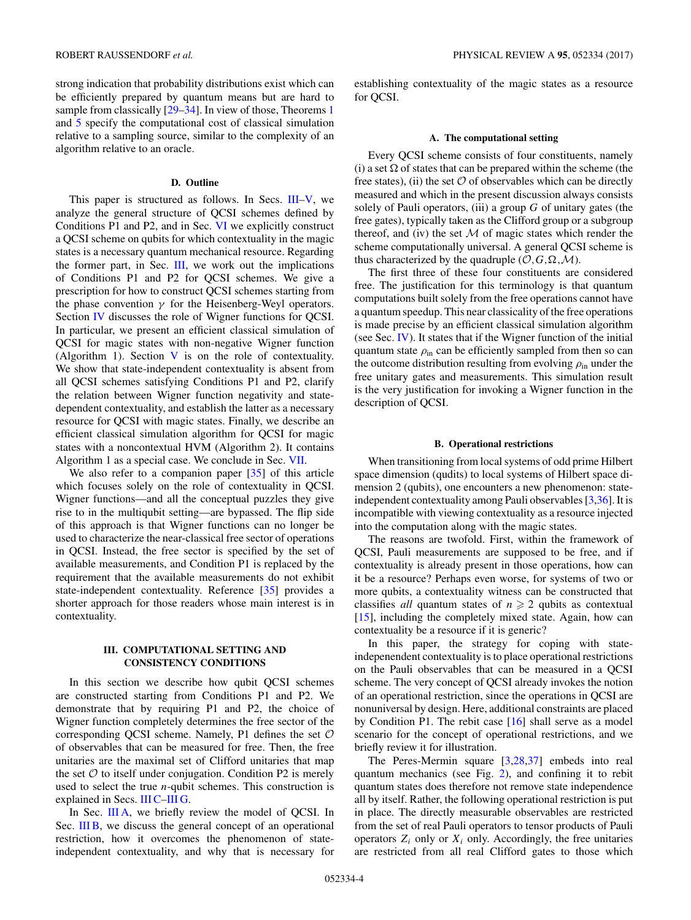<span id="page-3-0"></span>strong indication that probability distributions exist which can be efficiently prepared by quantum means but are hard to sample from classically  $[29-34]$ . In view of those, Theorems [1](#page-8-0) and [5](#page-14-0) specify the computational cost of classical simulation relative to a sampling source, similar to the complexity of an algorithm relative to an oracle.

## **D. Outline**

This paper is structured as follows. In Secs. III[–V,](#page-10-0) we analyze the general structure of QCSI schemes defined by Conditions P1 and P2, and in Sec. [VI](#page-17-0) we explicitly construct a QCSI scheme on qubits for which contextuality in the magic states is a necessary quantum mechanical resource. Regarding the former part, in Sec. III, we work out the implications of Conditions P1 and P2 for QCSI schemes. We give a prescription for how to construct QCSI schemes starting from the phase convention  $\gamma$  for the Heisenberg-Weyl operators. Section [IV](#page-7-0) discusses the role of Wigner functions for QCSI. In particular, we present an efficient classical simulation of QCSI for magic states with non-negative Wigner function (Algorithm 1). Section  $V$  is on the role of contextuality. We show that state-independent contextuality is absent from all QCSI schemes satisfying Conditions P1 and P2, clarify the relation between Wigner function negativity and statedependent contextuality, and establish the latter as a necessary resource for QCSI with magic states. Finally, we describe an efficient classical simulation algorithm for QCSI for magic states with a noncontextual HVM (Algorithm 2). It contains Algorithm 1 as a special case. We conclude in Sec. [VII.](#page-19-0)

We also refer to a companion paper [\[35\]](#page-21-0) of this article which focuses solely on the role of contextuality in QCSI. Wigner functions—and all the conceptual puzzles they give rise to in the multiqubit setting—are bypassed. The flip side of this approach is that Wigner functions can no longer be used to characterize the near-classical free sector of operations in QCSI. Instead, the free sector is specified by the set of available measurements, and Condition P1 is replaced by the requirement that the available measurements do not exhibit state-independent contextuality. Reference [\[35\]](#page-21-0) provides a shorter approach for those readers whose main interest is in contextuality.

## **III. COMPUTATIONAL SETTING AND CONSISTENCY CONDITIONS**

In this section we describe how qubit QCSI schemes are constructed starting from Conditions P1 and P2. We demonstrate that by requiring P1 and P2, the choice of Wigner function completely determines the free sector of the corresponding QCSI scheme. Namely, P1 defines the set  $O$ of observables that can be measured for free. Then, the free unitaries are the maximal set of Clifford unitaries that map the set  $O$  to itself under conjugation. Condition P2 is merely used to select the true *n*-qubit schemes. This construction is explained in Secs. [III C–](#page-4-0)[III G.](#page-7-0)

In Sec. III A, we briefly review the model of QCSI. In Sec. III B, we discuss the general concept of an operational restriction, how it overcomes the phenomenon of stateindependent contextuality, and why that is necessary for establishing contextuality of the magic states as a resource for QCSI.

## **A. The computational setting**

Every QCSI scheme consists of four constituents, namely (i) a set  $\Omega$  of states that can be prepared within the scheme (the free states), (ii) the set  $O$  of observables which can be directly measured and which in the present discussion always consists solely of Pauli operators, (iii) a group *G* of unitary gates (the free gates), typically taken as the Clifford group or a subgroup thereof, and (iv) the set  $M$  of magic states which render the scheme computationally universal. A general QCSI scheme is thus characterized by the quadruple  $(0, G, \Omega, \mathcal{M})$ .

The first three of these four constituents are considered free. The justification for this terminology is that quantum computations built solely from the free operations cannot have a quantum speedup. This near classicality of the free operations is made precise by an efficient classical simulation algorithm (see Sec. [IV\)](#page-7-0). It states that if the Wigner function of the initial quantum state  $\rho_{\text{in}}$  can be efficiently sampled from then so can the outcome distribution resulting from evolving  $\rho_{\text{in}}$  under the free unitary gates and measurements. This simulation result is the very justification for invoking a Wigner function in the description of QCSI.

## **B. Operational restrictions**

When transitioning from local systems of odd prime Hilbert space dimension (qudits) to local systems of Hilbert space dimension 2 (qubits), one encounters a new phenomenon: stateindependent contextuality among Pauli observables [\[3](#page-20-0)[,36\]](#page-21-0). It is incompatible with viewing contextuality as a resource injected into the computation along with the magic states.

The reasons are twofold. First, within the framework of QCSI, Pauli measurements are supposed to be free, and if contextuality is already present in those operations, how can it be a resource? Perhaps even worse, for systems of two or more qubits, a contextuality witness can be constructed that classifies *all* quantum states of  $n \geq 2$  qubits as contextual [\[15\]](#page-21-0), including the completely mixed state. Again, how can contextuality be a resource if it is generic?

In this paper, the strategy for coping with stateindepenendent contextuality is to place operational restrictions on the Pauli observables that can be measured in a QCSI scheme. The very concept of QCSI already invokes the notion of an operational restriction, since the operations in QCSI are nonuniversal by design. Here, additional constraints are placed by Condition P1. The rebit case [\[16\]](#page-21-0) shall serve as a model scenario for the concept of operational restrictions, and we briefly review it for illustration.

The Peres-Mermin square [\[3](#page-20-0)[,28,37\]](#page-21-0) embeds into real quantum mechanics (see Fig. [2\)](#page-4-0), and confining it to rebit quantum states does therefore not remove state independence all by itself. Rather, the following operational restriction is put in place. The directly measurable observables are restricted from the set of real Pauli operators to tensor products of Pauli operators  $Z_i$  only or  $X_i$  only. Accordingly, the free unitaries are restricted from all real Clifford gates to those which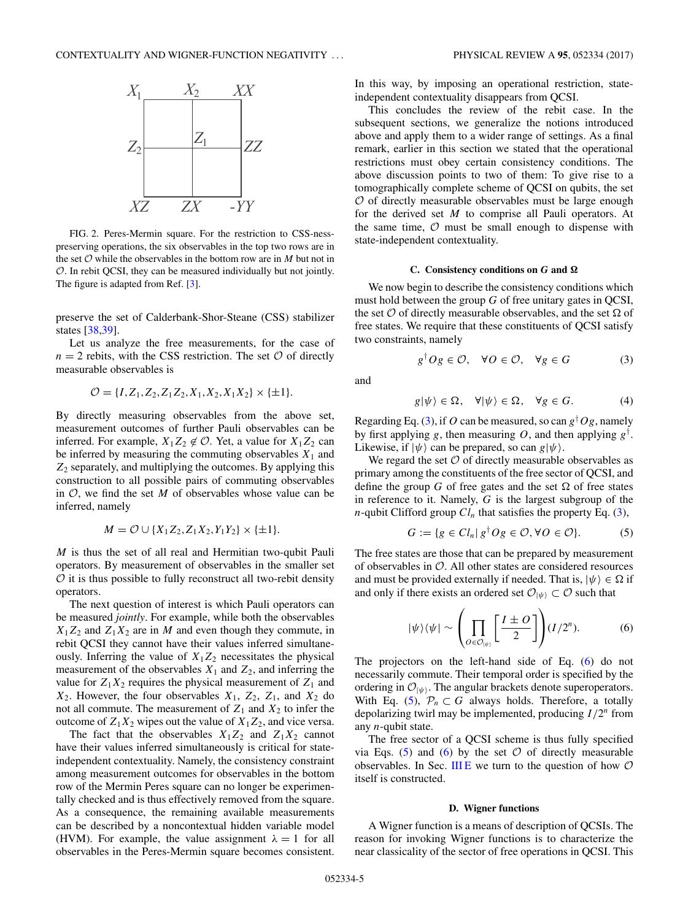<span id="page-4-0"></span>

FIG. 2. Peres-Mermin square. For the restriction to CSS-nesspreserving operations, the six observables in the top two rows are in the set  $O$  while the observables in the bottom row are in  $M$  but not in O. In rebit QCSI, they can be measured individually but not jointly. The figure is adapted from Ref. [\[3\]](#page-20-0).

preserve the set of Calderbank-Shor-Steane (CSS) stabilizer states [\[38,39\]](#page-21-0).

Let us analyze the free measurements, for the case of  $n = 2$  rebits, with the CSS restriction. The set  $\mathcal O$  of directly measurable observables is

$$
\mathcal{O} = \{I, Z_1, Z_2, Z_1Z_2, X_1, X_2, X_1X_2\} \times \{\pm 1\}.
$$

By directly measuring observables from the above set, measurement outcomes of further Pauli observables can be inferred. For example,  $X_1Z_2 \notin \mathcal{O}$ . Yet, a value for  $X_1Z_2$  can be inferred by measuring the commuting observables  $X_1$  and *Z*<sup>2</sup> separately, and multiplying the outcomes. By applying this construction to all possible pairs of commuting observables in  $\mathcal{O}$ , we find the set  $M$  of observables whose value can be inferred, namely

$$
M = \mathcal{O} \cup \{X_1 Z_2, Z_1 X_2, Y_1 Y_2\} \times \{\pm 1\}.
$$

*M* is thus the set of all real and Hermitian two-qubit Pauli operators. By measurement of observables in the smaller set  $\mathcal O$  it is thus possible to fully reconstruct all two-rebit density operators.

The next question of interest is which Pauli operators can be measured *jointly*. For example, while both the observables  $X_1Z_2$  and  $Z_1X_2$  are in *M* and even though they commute, in rebit QCSI they cannot have their values inferred simultaneously. Inferring the value of  $X_1Z_2$  necessitates the physical measurement of the observables  $X_1$  and  $Z_2$ , and inferring the value for  $Z_1X_2$  requires the physical measurement of  $Z_1$  and  $X_2$ . However, the four observables  $X_1$ ,  $Z_2$ ,  $Z_1$ , and  $X_2$  do not all commute. The measurement of  $Z_1$  and  $X_2$  to infer the outcome of  $Z_1X_2$  wipes out the value of  $X_1Z_2$ , and vice versa.

The fact that the observables  $X_1Z_2$  and  $Z_1X_2$  cannot have their values inferred simultaneously is critical for stateindependent contextuality. Namely, the consistency constraint among measurement outcomes for observables in the bottom row of the Mermin Peres square can no longer be experimentally checked and is thus effectively removed from the square. As a consequence, the remaining available measurements can be described by a noncontextual hidden variable model (HVM). For example, the value assignment  $\lambda = 1$  for all observables in the Peres-Mermin square becomes consistent. In this way, by imposing an operational restriction, stateindependent contextuality disappears from QCSI.

This concludes the review of the rebit case. In the subsequent sections, we generalize the notions introduced above and apply them to a wider range of settings. As a final remark, earlier in this section we stated that the operational restrictions must obey certain consistency conditions. The above discussion points to two of them: To give rise to a tomographically complete scheme of QCSI on qubits, the set  $O$  of directly measurable observables must be large enough for the derived set *M* to comprise all Pauli operators. At the same time,  $\mathcal O$  must be small enough to dispense with state-independent contextuality.

### **C.** Consistency conditions on *G* and  $Ω$

We now begin to describe the consistency conditions which must hold between the group *G* of free unitary gates in QCSI, the set  $O$  of directly measurable observables, and the set  $\Omega$  of free states. We require that these constituents of QCSI satisfy two constraints, namely

$$
g^{\dagger}Og \in \mathcal{O}, \quad \forall O \in \mathcal{O}, \quad \forall g \in G \tag{3}
$$

and

$$
g|\psi\rangle \in \Omega, \quad \forall |\psi\rangle \in \Omega, \quad \forall g \in G. \tag{4}
$$

Regarding Eq. (3), if *O* can be measured, so can *g*† *Og*, namely by first applying *g*, then measuring *O*, and then applying *g*† . Likewise, if  $|\psi\rangle$  can be prepared, so can  $g|\psi\rangle$ .

We regard the set  $O$  of directly measurable observables as primary among the constituents of the free sector of QCSI, and define the group *G* of free gates and the set  $\Omega$  of free states in reference to it. Namely, *G* is the largest subgroup of the *n*-qubit Clifford group  $Cl_n$  that satisfies the property Eq. (3),

$$
G := \{ g \in Cl_n \mid g^\dagger O g \in O, \forall O \in O \}. \tag{5}
$$

The free states are those that can be prepared by measurement of observables in  $\mathcal{O}$ . All other states are considered resources and must be provided externally if needed. That is,  $|\psi\rangle \in \Omega$  if and only if there exists an ordered set  $\mathcal{O}_{|\psi\rangle} \subset \mathcal{O}$  such that

$$
|\psi\rangle\langle\psi| \sim \left(\prod_{O \in \mathcal{O}_{|\psi\rangle}} \left[\frac{I \pm O}{2}\right]\right) (I/2^n). \tag{6}
$$

The projectors on the left-hand side of Eq. (6) do not necessarily commute. Their temporal order is specified by the ordering in  $\mathcal{O}_{|\psi\rangle}$ . The angular brackets denote superoperators. With Eq. (5),  $\mathcal{P}_n \subset G$  always holds. Therefore, a totally depolarizing twirl may be implemented, producing *I/*2*<sup>n</sup>* from any *n*-qubit state.

The free sector of a QCSI scheme is thus fully specified via Eqs. (5) and (6) by the set  $\mathcal O$  of directly measurable observables. In Sec. [III E](#page-5-0) we turn to the question of how  $\mathcal O$ itself is constructed.

### **D. Wigner functions**

A Wigner function is a means of description of QCSIs. The reason for invoking Wigner functions is to characterize the near classicality of the sector of free operations in QCSI. This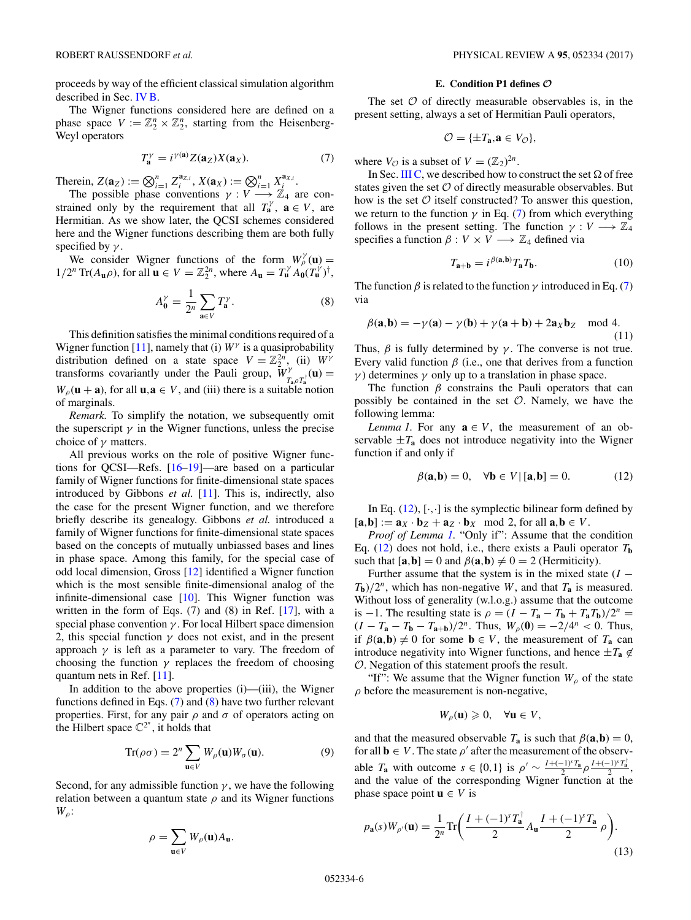<span id="page-5-0"></span>proceeds by way of the efficient classical simulation algorithm described in Sec. [IV B.](#page-8-0)

The Wigner functions considered here are defined on a phase space  $V := \mathbb{Z}_2^n \times \mathbb{Z}_2^n$ , starting from the Heisenberg-Weyl operators

$$
T_{\mathbf{a}}^{\gamma} = i^{\gamma(\mathbf{a})} Z(\mathbf{a}_Z) X(\mathbf{a}_X).
$$
 (7)

Therein,  $Z(\mathbf{a}_Z) := \bigotimes_{i=1}^n Z_i^{\mathbf{a}_{Z,i}}$ ,  $X(\mathbf{a}_X) := \bigotimes_{i=1}^n X_i^{\mathbf{a}_{X,i}}$ .

The possible phase conventions  $\gamma : V \longrightarrow \mathbb{Z}_4$  are constrained only by the requirement that all  $T_a^{\gamma}$ ,  $a \in V$ , are Hermitian. As we show later, the QCSI schemes considered here and the Wigner functions describing them are both fully specified by  $\gamma$ .

We consider Wigner functions of the form  $W^{\gamma}_{\rho}(\mathbf{u}) =$  $1/2^n \text{Tr}(A_{\mathbf{u}}\rho)$ , for all  $\mathbf{u} \in V = \mathbb{Z}_2^{2n}$ , where  $A_{\mathbf{u}} = T_{\mathbf{u}}^{\gamma} A_{\mathbf{0}}(T_{\mathbf{u}}^{\gamma})^{\dagger}$ ,

$$
A_0^\gamma = \frac{1}{2^n} \sum_{\mathbf{a} \in V} T_\mathbf{a}^\gamma. \tag{8}
$$

This definition satisfies the minimal conditions required of a Wigner function [\[11\]](#page-21-0), namely that (i)  $W^{\gamma}$  is a quasiprobability distribution defined on a state space  $V = \mathbb{Z}_2^{2n}$ , (ii)  $W^{\gamma}$ transforms covariantly under the Pauli group,  $W^{\gamma}_{T_a \rho T_a^{\dagger}}(\mathbf{u}) =$  $W_p(\mathbf{u} + \mathbf{a})$ , for all  $\mathbf{u}, \mathbf{a} \in V$ , and (iii) there is a suitable notion of marginals.

*Remark.* To simplify the notation, we subsequently omit the superscript  $\gamma$  in the Wigner functions, unless the precise choice of *γ* matters.

All previous works on the role of positive Wigner functions for QCSI—Refs. [\[16–19\]](#page-21-0)—are based on a particular family of Wigner functions for finite-dimensional state spaces introduced by Gibbons *et al.* [\[11\]](#page-21-0). This is, indirectly, also the case for the present Wigner function, and we therefore briefly describe its genealogy. Gibbons *et al.* introduced a family of Wigner functions for finite-dimensional state spaces based on the concepts of mutually unbiassed bases and lines in phase space. Among this family, for the special case of odd local dimension, Gross [\[12\]](#page-21-0) identified a Wigner function which is the most sensible finite-dimensional analog of the infinite-dimensional case  $[10]$ . This Wigner function was written in the form of Eqs. (7) and (8) in Ref. [\[17\]](#page-21-0), with a special phase convention *γ* . For local Hilbert space dimension 2, this special function  $\gamma$  does not exist, and in the present approach  $\gamma$  is left as a parameter to vary. The freedom of choosing the function  $\gamma$  replaces the freedom of choosing quantum nets in Ref. [\[11\]](#page-21-0).

In addition to the above properties (i)—(iii), the Wigner functions defined in Eqs. (7) and (8) have two further relevant properties. First, for any pair  $\rho$  and  $\sigma$  of operators acting on the Hilbert space  $\mathbb{C}^{2^n}$ , it holds that

$$
\operatorname{Tr}(\rho \sigma) = 2^n \sum_{\mathbf{u} \in V} W_{\rho}(\mathbf{u}) W_{\sigma}(\mathbf{u}). \tag{9}
$$

Second, for any admissible function  $\gamma$ , we have the following relation between a quantum state  $\rho$  and its Wigner functions *Wρ*:

$$
\rho = \sum_{\mathbf{u} \in V} W_{\rho}(\mathbf{u}) A_{\mathbf{u}}.
$$

### **E. Condition P1 defines** *O*

The set  $\mathcal O$  of directly measurable observables is, in the present setting, always a set of Hermitian Pauli operators,

$$
\mathcal{O}=\{\pm T_{\mathbf{a}}, \mathbf{a}\in V_{\mathcal{O}}\},\
$$

where  $V_{\mathcal{O}}$  is a subset of  $V = (\mathbb{Z}_2)^{2n}$ .

In Sec. [III C,](#page-4-0) we described how to construct the set  $\Omega$  of free states given the set  $\mathcal O$  of directly measurable observables. But how is the set  $\mathcal O$  itself constructed? To answer this question, we return to the function  $\gamma$  in Eq. (7) from which everything follows in the present setting. The function  $\gamma : V \longrightarrow \mathbb{Z}_4$ specifies a function  $\beta : V \times V \longrightarrow \mathbb{Z}_4$  defined via

$$
T_{\mathbf{a}+\mathbf{b}} = i^{\beta(\mathbf{a},\mathbf{b})} T_{\mathbf{a}} T_{\mathbf{b}}.\tag{10}
$$

The function  $\beta$  is related to the function  $\gamma$  introduced in Eq. (7) via

$$
\beta(\mathbf{a}, \mathbf{b}) = -\gamma(\mathbf{a}) - \gamma(\mathbf{b}) + \gamma(\mathbf{a} + \mathbf{b}) + 2\mathbf{a}_X \mathbf{b}_Z \mod 4.
$$
\n(11)

Thus,  $\beta$  is fully determined by  $\gamma$ . The converse is not true. Every valid function  $\beta$  (i.e., one that derives from a function *γ*) determines *γ* only up to a translation in phase space.

The function  $\beta$  constrains the Pauli operators that can possibly be contained in the set  $O$ . Namely, we have the following lemma:

*Lemma 1.* For any  $a \in V$ , the measurement of an observable  $\pm T_a$  does not introduce negativity into the Wigner function if and only if

$$
\beta(\mathbf{a}, \mathbf{b}) = 0, \quad \forall \mathbf{b} \in V \mid [\mathbf{a}, \mathbf{b}] = 0. \tag{12}
$$

In Eq.  $(12)$ ,  $[\cdot, \cdot]$  is the symplectic bilinear form defined by  $[\mathbf{a}, \mathbf{b}] := \mathbf{a}_X \cdot \mathbf{b}_Z + \mathbf{a}_Z \cdot \mathbf{b}_X \mod 2$ , for all  $\mathbf{a}, \mathbf{b} \in V$ .

*Proof of Lemma 1.* "Only if": Assume that the condition Eq. (12) does not hold, i.e., there exists a Pauli operator  $T<sub>b</sub>$ such that  $[\mathbf{a}, \mathbf{b}] = 0$  and  $\beta(\mathbf{a}, \mathbf{b}) \neq 0 = 2$  (Hermiticity).

Further assume that the system is in the mixed state  $(I T_b$ )/2<sup>*n*</sup>, which has non-negative *W*, and that  $T_a$  is measured. Without loss of generality (w.l.o.g.) assume that the outcome is −1. The resulting state is  $\rho = (I - T_a - T_b + T_a T_b)/2^n$  =  $(I - T_{\bf a} - T_{\bf b} - T_{\bf a+b})/2^n$ . Thus,  $W_\rho(\bf{0}) = -2/4^n < 0$ . Thus, if  $\beta(\mathbf{a}, \mathbf{b}) \neq 0$  for some  $\mathbf{b} \in V$ , the measurement of  $T_{\mathbf{a}}$  can introduce negativity into Wigner functions, and hence  $\pm T_a \notin$ O. Negation of this statement proofs the result.

"If": We assume that the Wigner function  $W_\rho$  of the state  $\rho$  before the measurement is non-negative,

$$
W_{\rho}(\mathbf{u}) \geq 0, \quad \forall \mathbf{u} \in V,
$$

and that the measured observable  $T_{\bf a}$  is such that  $\beta({\bf a},{\bf b})=0$ , for all  $\mathbf{b} \in V$ . The state  $\rho'$  after the measurement of the observable  $T_a$  with outcome  $s \in \{0,1\}$  is  $\rho' \sim \frac{I + (-1)^s T_a}{2} \rho \frac{I + (-1)^s T_a^{\dagger}}{2}$ , and the value of the corresponding Wigner function at the phase space point  $\mathbf{u} \in V$  is

$$
p_{\mathbf{a}}(s)W_{\rho'}(\mathbf{u}) = \frac{1}{2^n} \text{Tr}\bigg(\frac{I + (-1)^s T_{\mathbf{a}}^\dagger}{2} A_{\mathbf{u}} \frac{I + (-1)^s T_{\mathbf{a}}}{2} \rho\bigg). \tag{13}
$$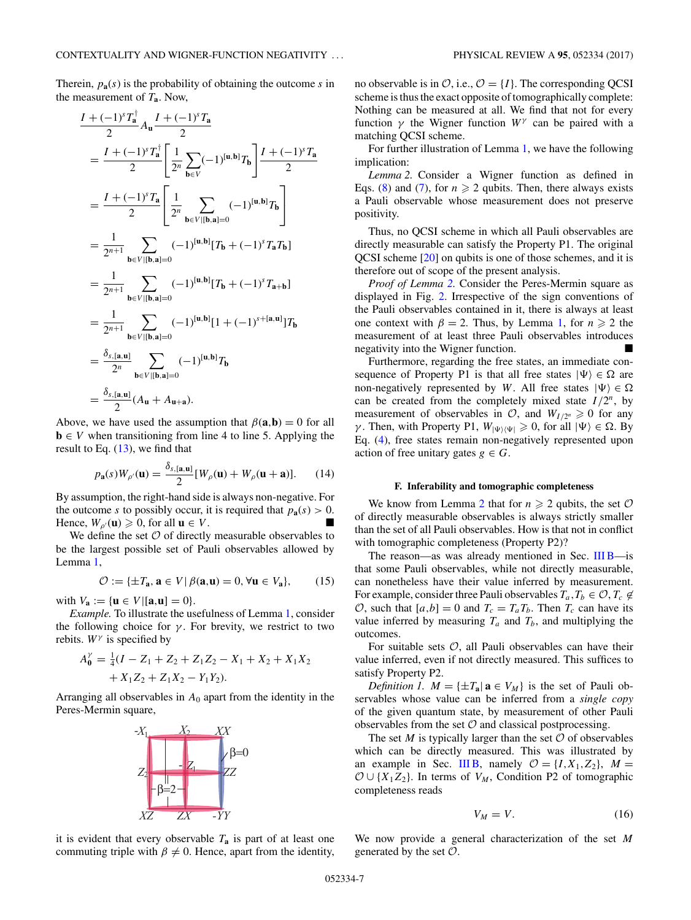<span id="page-6-0"></span>Therein,  $p_{a}(s)$  is the probability of obtaining the outcome *s* in the measurement of *T***a**. Now,

$$
\frac{I + (-1)^{s} T_{\mathbf{a}}^{\dagger}}{2} A_{\mathbf{u}} \frac{I + (-1)^{s} T_{\mathbf{a}}}{2}
$$
\n
$$
= \frac{I + (-1)^{s} T_{\mathbf{a}}^{\dagger}}{2} \left[ \frac{1}{2^{n}} \sum_{\mathbf{b} \in V} (-1)^{[\mathbf{u}, \mathbf{b}]} T_{\mathbf{b}} \right] \frac{I + (-1)^{s} T_{\mathbf{a}}}{2}
$$
\n
$$
= \frac{I + (-1)^{s} T_{\mathbf{a}}}{2} \left[ \frac{1}{2^{n}} \sum_{\mathbf{b} \in V | [\mathbf{b}, \mathbf{a}] = 0} (-1)^{[\mathbf{u}, \mathbf{b}]} T_{\mathbf{b}} \right]
$$
\n
$$
= \frac{1}{2^{n+1}} \sum_{\mathbf{b} \in V | [\mathbf{b}, \mathbf{a}] = 0} (-1)^{[\mathbf{u}, \mathbf{b}]} [T_{\mathbf{b}} + (-1)^{s} T_{\mathbf{a}} T_{\mathbf{b}}]
$$
\n
$$
= \frac{1}{2^{n+1}} \sum_{\mathbf{b} \in V | [\mathbf{b}, \mathbf{a}] = 0} (-1)^{[\mathbf{u}, \mathbf{b}]} [T_{\mathbf{b}} + (-1)^{s} T_{\mathbf{a} + \mathbf{b}}]
$$
\n
$$
= \frac{1}{2^{n+1}} \sum_{\mathbf{b} \in V | [\mathbf{b}, \mathbf{a}] = 0} (-1)^{[\mathbf{u}, \mathbf{b}]} [1 + (-1)^{s + [\mathbf{a}, \mathbf{u}]}] T_{\mathbf{b}}
$$
\n
$$
= \frac{\delta_{s, [\mathbf{a}, \mathbf{u}]}}{2^{n}} \sum_{\mathbf{b} \in V | [\mathbf{b}, \mathbf{a}] = 0} (-1)^{[\mathbf{u}, \mathbf{b}]} T_{\mathbf{b}}
$$
\n
$$
= \frac{\delta_{s, [\mathbf{a}, \mathbf{u}]}}{2} (A_{\mathbf{u}} + A_{\mathbf{u} + \mathbf{a}}).
$$

Above, we have used the assumption that  $\beta(\mathbf{a}, \mathbf{b}) = 0$  for all  **when transitioning from line 4 to line 5. Applying the** result to Eq.  $(13)$ , we find that

$$
p_{\mathbf{a}}(s)W_{\rho'}(\mathbf{u}) = \frac{\delta_{s,[\mathbf{a},\mathbf{u}]}}{2}[W_{\rho}(\mathbf{u}) + W_{\rho}(\mathbf{u} + \mathbf{a})].
$$
 (14)

By assumption, the right-hand side is always non-negative. For the outcome *s* to possibly occur, it is required that  $p_a(s) > 0$ . Hence,  $W_{\rho}(\mathbf{u}) \geq 0$ , for all  $\mathbf{u} \in V$ .

We define the set  $O$  of directly measurable observables to be the largest possible set of Pauli observables allowed by Lemma [1,](#page-5-0)

$$
\mathcal{O} := \{ \pm T_{\mathbf{a}}, \mathbf{a} \in V \, | \, \beta(\mathbf{a}, \mathbf{u}) = 0, \forall \mathbf{u} \in V_{\mathbf{a}} \},\qquad(15)
$$

with  $V_a := \{ u \in V | [a, u] = 0 \}.$ 

*Example.* To illustrate the usefulness of Lemma [1,](#page-5-0) consider the following choice for  $\gamma$ . For brevity, we restrict to two rebits. *W<sup>γ</sup>* is specified by

$$
A_0^{\gamma} = \frac{1}{4}(I - Z_1 + Z_2 + Z_1Z_2 - X_1 + X_2 + X_1X_2 + X_1Z_2 + Z_1X_2 - Y_1Y_2).
$$

Arranging all observables in *A*<sup>0</sup> apart from the identity in the Peres-Mermin square,



no observable is in  $\mathcal{O}$ , i.e.,  $\mathcal{O} = \{I\}$ . The corresponding QCSI scheme is thus the exact opposite of tomographically complete: Nothing can be measured at all. We find that not for every function  $\gamma$  the Wigner function  $W^{\gamma}$  can be paired with a matching QCSI scheme.

For further illustration of Lemma [1,](#page-5-0) we have the following implication:

*Lemma 2.* Consider a Wigner function as defined in Eqs. [\(8\)](#page-5-0) and [\(7\)](#page-5-0), for  $n \ge 2$  qubits. Then, there always exists a Pauli observable whose measurement does not preserve positivity.

Thus, no QCSI scheme in which all Pauli observables are directly measurable can satisfy the Property P1. The original QCSI scheme [\[20\]](#page-21-0) on qubits is one of those schemes, and it is therefore out of scope of the present analysis.

*Proof of Lemma 2.* Consider the Peres-Mermin square as displayed in Fig. [2.](#page-4-0) Irrespective of the sign conventions of the Pauli observables contained in it, there is always at least one context with  $\beta = 2$ . Thus, by Lemma [1,](#page-5-0) for  $n \ge 2$  the measurement of at least three Pauli observables introduces negativity into the Wigner function.

Furthermore, regarding the free states, an immediate consequence of Property P1 is that all free states  $|\Psi\rangle \in \Omega$  are non-negatively represented by *W*. All free states  $|\Psi\rangle \in \Omega$ can be created from the completely mixed state  $I/2^n$ , by measurement of observables in  $\mathcal{O}$ , and  $W_{I/2^n} \geq 0$  for any *γ*. Then, with Property P1,  $W_{|\Psi\rangle\langle\Psi|} \geq 0$ , for all  $|\Psi\rangle \in \Omega$ . By Eq. [\(4\)](#page-4-0), free states remain non-negatively represented upon action of free unitary gates  $g \in G$ .

### **F. Inferability and tomographic completeness**

We know from Lemma 2 that for  $n \ge 2$  qubits, the set O of directly measurable observables is always strictly smaller than the set of all Pauli observables. How is that not in conflict with tomographic completeness (Property P2)?

The reason—as was already mentioned in Sec. [III B—](#page-3-0)is that some Pauli observables, while not directly measurable, can nonetheless have their value inferred by measurement. For example, consider three Pauli observables  $T_a, T_b \in \mathcal{O}, T_c \notin$ O, such that  $[a,b] = 0$  and  $T_c = T_a T_b$ . Then  $T_c$  can have its value inferred by measuring  $T_a$  and  $T_b$ , and multiplying the outcomes.

For suitable sets  $\mathcal{O}$ , all Pauli observables can have their value inferred, even if not directly measured. This suffices to satisfy Property P2.

*Definition 1.*  $M = \{ \pm T_a | a \in V_M \}$  is the set of Pauli observables whose value can be inferred from a *single copy* of the given quantum state, by measurement of other Pauli observables from the set  $\mathcal O$  and classical postprocessing.

The set  $M$  is typically larger than the set  $O$  of observables which can be directly measured. This was illustrated by an example in Sec. [III B,](#page-3-0) namely  $\mathcal{O} = \{I, X_1, Z_2\}$ ,  $M =$  $\mathcal{O} \cup \{X_1 Z_2\}$ . In terms of  $V_M$ , Condition P2 of tomographic completeness reads

$$
V_M = V. \t\t(16)
$$

it is evident that every observable  $T_a$  is part of at least one commuting triple with  $\beta \neq 0$ . Hence, apart from the identity,

We now provide a general characterization of the set *M* generated by the set  $\mathcal{O}$ .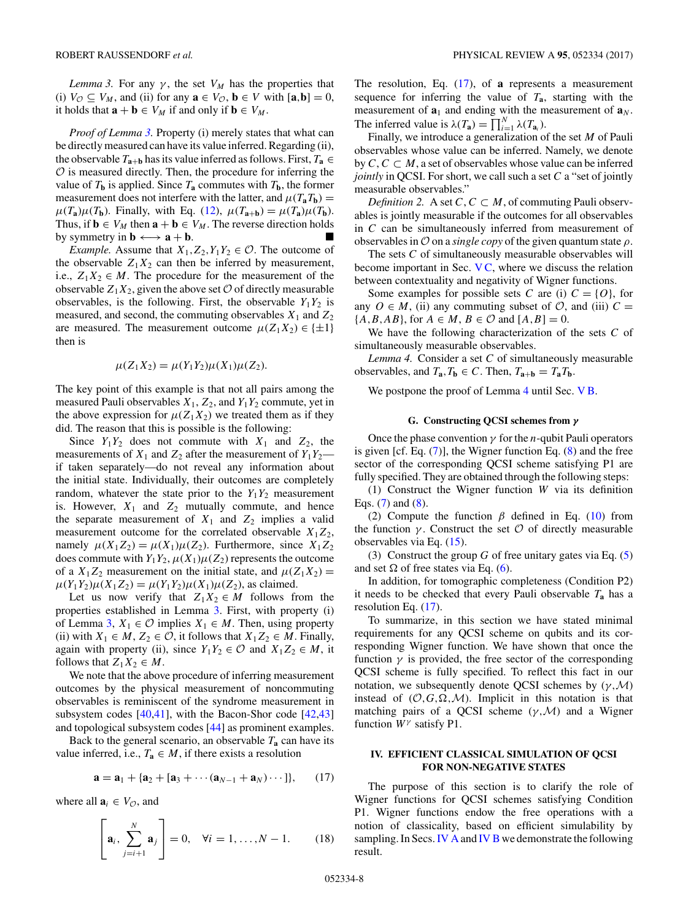<span id="page-7-0"></span>*Lemma 3.* For any  $\gamma$ , the set  $V_M$  has the properties that (i)  $V_{\mathcal{O}} \subseteq V_M$ , and (ii) for any  $\mathbf{a} \in V_{\mathcal{O}}$ ,  $\mathbf{b} \in V$  with  $[\mathbf{a}, \mathbf{b}] = 0$ , it holds that  $\mathbf{a} + \mathbf{b} \in V_M$  if and only if  $\mathbf{b} \in V_M$ .

*Proof of Lemma* 3. Property (i) merely states that what can be directly measured can have its value inferred. Regarding (ii), the observable  $T_{a+b}$  has its value inferred as follows. First,  $T_a \in$  $O$  is measured directly. Then, the procedure for inferring the value of  $T_b$  is applied. Since  $T_a$  commutes with  $T_b$ , the former measurement does not interfere with the latter, and  $\mu(T_a T_b)$  =  $\mu(T_a)\mu(T_b)$ . Finally, with Eq. [\(12\)](#page-5-0),  $\mu(T_{a+b}) = \mu(T_a)\mu(T_b)$ . Thus, if  $\mathbf{b} \in V_M$  then  $\mathbf{a} + \mathbf{b} \in V_M$ . The reverse direction holds by symmetry in  $\mathbf{b} \longleftrightarrow \mathbf{a} + \mathbf{b}$ .

*Example.* Assume that  $X_1, Z_2, Y_1Y_2 \in \mathcal{O}$ . The outcome of the observable  $Z_1X_2$  can then be inferred by measurement, i.e.,  $Z_1X_2 \in M$ . The procedure for the measurement of the observable  $Z_1X_2$ , given the above set  $\mathcal O$  of directly measurable observables, is the following. First, the observable  $Y_1Y_2$  is measured, and second, the commuting observables  $X_1$  and  $Z_2$ are measured. The measurement outcome  $\mu(Z_1X_2) \in \{\pm 1\}$ then is

$$
\mu(Z_1X_2) = \mu(Y_1Y_2)\mu(X_1)\mu(Z_2).
$$

The key point of this example is that not all pairs among the measured Pauli observables  $X_1$ ,  $Z_2$ , and  $Y_1Y_2$  commute, yet in the above expression for  $\mu(Z_1X_2)$  we treated them as if they did. The reason that this is possible is the following:

Since  $Y_1Y_2$  does not commute with  $X_1$  and  $Z_2$ , the measurements of  $X_1$  and  $Z_2$  after the measurement of  $Y_1Y_2$  if taken separately—do not reveal any information about the initial state. Individually, their outcomes are completely random, whatever the state prior to the  $Y_1Y_2$  measurement is. However,  $X_1$  and  $Z_2$  mutually commute, and hence the separate measurement of  $X_1$  and  $Z_2$  implies a valid measurement outcome for the correlated observable  $X_1Z_2$ , namely  $\mu(X_1 Z_2) = \mu(X_1)\mu(Z_2)$ . Furthermore, since  $X_1 Z_2$ does commute with  $Y_1Y_2$ ,  $\mu(X_1)\mu(Z_2)$  represents the outcome of a  $X_1Z_2$  measurement on the initial state, and  $\mu(Z_1X_2)$  =  $\mu(Y_1Y_2)\mu(X_1Z_2) = \mu(Y_1Y_2)\mu(X_1)\mu(Z_2)$ , as claimed.

Let us now verify that  $Z_1 X_2 \in M$  follows from the properties established in Lemma 3. First, with property (i) of Lemma 3,  $X_1$  ∈  $\emptyset$  implies  $X_1$  ∈  $M$ . Then, using property (ii) with  $X_1 \in M$ ,  $Z_2 \in \mathcal{O}$ , it follows that  $X_1 Z_2 \in M$ . Finally, again with property (ii), since  $Y_1Y_2 \in \mathcal{O}$  and  $X_1Z_2 \in M$ , it follows that  $Z_1X_2 \in M$ .

We note that the above procedure of inferring measurement outcomes by the physical measurement of noncommuting observables is reminiscent of the syndrome measurement in subsystem codes [\[40,41\]](#page-21-0), with the Bacon-Shor code [\[42,43\]](#page-21-0) and topological subsystem codes [\[44\]](#page-21-0) as prominent examples.

Back to the general scenario, an observable  $T_a$  can have its value inferred, i.e.,  $T_a \in M$ , if there exists a resolution

$$
\mathbf{a} = \mathbf{a}_1 + \{\mathbf{a}_2 + [\mathbf{a}_3 + \cdots (\mathbf{a}_{N-1} + \mathbf{a}_N) \cdots]\},\qquad(17)
$$

where all  $\mathbf{a}_i \in V_{\mathcal{O}}$ , and

$$
\left[\mathbf{a}_i, \sum_{j=i+1}^N \mathbf{a}_j\right] = 0, \quad \forall i = 1, \dots, N-1.
$$
 (18)

The resolution, Eq. (17), of **a** represents a measurement sequence for inferring the value of  $T_a$ , starting with the measurement of  $\mathbf{a}_1$  and ending with the measurement of  $\mathbf{a}_N$ . The inferred value is  $\lambda(T_a) = \prod_{i=1}^{N} \lambda(T_{a_i})$ .

Finally, we introduce a generalization of the set *M* of Pauli observables whose value can be inferred. Namely, we denote by  $C, C \subset M$ , a set of observables whose value can be inferred *jointly* in QCSI. For short, we call such a set *C* a "set of jointly measurable observables."

*Definition 2.* A set  $C$ ,  $C \subset M$ , of commuting Pauli observables is jointly measurable if the outcomes for all observables in *C* can be simultaneously inferred from measurement of observables in O on a *single copy* of the given quantum state *ρ*.

The sets *C* of simultaneously measurable observables will become important in Sec.  $VC$ , where we discuss the relation between contextuality and negativity of Wigner functions.

Some examples for possible sets *C* are (i)  $C = \{O\}$ , for any  $O \in M$ , (ii) any commuting subset of  $O$ , and (iii)  $C =$  ${A, B, AB}$ , for  $A \in M$ ,  $B \in \mathcal{O}$  and  $[A, B] = 0$ .

We have the following characterization of the sets *C* of simultaneously measurable observables.

*Lemma 4.* Consider a set *C* of simultaneously measurable observables, and  $T_a$ ,  $T_b \in C$ . Then,  $T_{a+b} = T_a T_b$ .

We postpone the proof of Lemma 4 until Sec. VB.

# **G. Constructing QCSI schemes from** *γ*

Once the phase convention *γ* for the *n*-qubit Pauli operators is given [cf. Eq.  $(7)$ ], the Wigner function Eq.  $(8)$  and the free sector of the corresponding QCSI scheme satisfying P1 are fully specified. They are obtained through the following steps:

(1) Construct the Wigner function *W* via its definition Eqs.  $(7)$  and  $(8)$ .

(2) Compute the function  $\beta$  defined in Eq. [\(10\)](#page-5-0) from the function  $\gamma$ . Construct the set  $\mathcal O$  of directly measurable observables via Eq. [\(15\)](#page-6-0).

(3) Construct the group *G* of free unitary gates via Eq. [\(5\)](#page-4-0) and set  $\Omega$  of free states via Eq. [\(6\)](#page-4-0).

In addition, for tomographic completeness (Condition P2) it needs to be checked that every Pauli observable *T***<sup>a</sup>** has a resolution Eq. (17).

To summarize, in this section we have stated minimal requirements for any QCSI scheme on qubits and its corresponding Wigner function. We have shown that once the function  $\gamma$  is provided, the free sector of the corresponding QCSI scheme is fully specified. To reflect this fact in our notation, we subsequently denote QCSI schemes by (*γ,*M) instead of  $(0, G, \Omega, M)$ . Implicit in this notation is that matching pairs of a QCSI scheme  $(\gamma, \mathcal{M})$  and a Wigner function *W<sup>γ</sup>* satisfy P1.

## **IV. EFFICIENT CLASSICAL SIMULATION OF QCSI FOR NON-NEGATIVE STATES**

The purpose of this section is to clarify the role of Wigner functions for QCSI schemes satisfying Condition P1. Wigner functions endow the free operations with a notion of classicality, based on efficient simulability by sampling. In Secs. [IV A](#page-8-0) and [IV B](#page-8-0) we demonstrate the following result.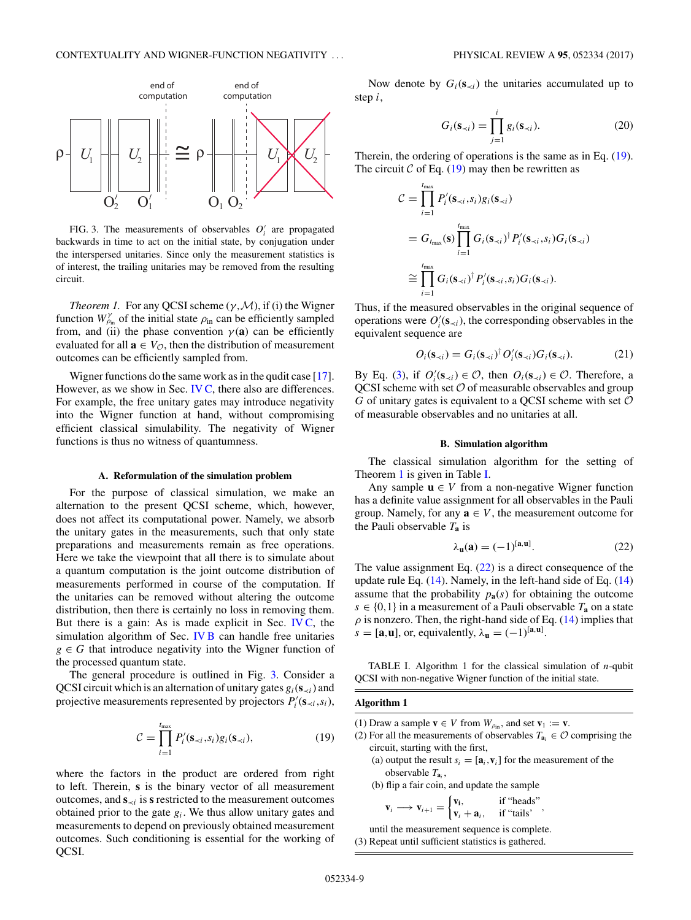<span id="page-8-0"></span>

FIG. 3. The measurements of observables  $O_i'$  are propagated backwards in time to act on the initial state, by conjugation under the interspersed unitaries. Since only the measurement statistics is of interest, the trailing unitaries may be removed from the resulting circuit.

*Theorem 1.* For any QCSI scheme  $(\gamma, \mathcal{M})$ , if (i) the Wigner function  $W_{\rho_{\text{in}}}^{\gamma}$  of the initial state  $\rho_{\text{in}}$  can be efficiently sampled from, and (ii) the phase convention  $\gamma$  (**a**) can be efficiently evaluated for all  $\mathbf{a} \in V_{\mathcal{O}}$ , then the distribution of measurement outcomes can be efficiently sampled from.

Wigner functions do the same work as in the qudit case [\[17\]](#page-21-0). However, as we show in Sec. [IV C,](#page-9-0) there also are differences. For example, the free unitary gates may introduce negativity into the Wigner function at hand, without compromising efficient classical simulability. The negativity of Wigner functions is thus no witness of quantumness.

### **A. Reformulation of the simulation problem**

For the purpose of classical simulation, we make an alternation to the present QCSI scheme, which, however, does not affect its computational power. Namely, we absorb the unitary gates in the measurements, such that only state preparations and measurements remain as free operations. Here we take the viewpoint that all there is to simulate about a quantum computation is the joint outcome distribution of measurements performed in course of the computation. If the unitaries can be removed without altering the outcome distribution, then there is certainly no loss in removing them. But there is a gain: As is made explicit in Sec. [IV C,](#page-9-0) the simulation algorithm of Sec. IV B can handle free unitaries  $g \in G$  that introduce negativity into the Wigner function of the processed quantum state.

The general procedure is outlined in Fig. 3. Consider a QCSI circuit which is an alternation of unitary gates  $g_i(s_{\prec i})$  and projective measurements represented by projectors  $P_i'(\mathbf{s}_{\prec i}, s_i)$ ,

$$
\mathcal{C} = \prod_{i=1}^{t_{\text{max}}} P'_i(\mathbf{s}_{\prec i}, s_i) g_i(\mathbf{s}_{\prec i}), \tag{19}
$$

where the factors in the product are ordered from right to left. Therein, **s** is the binary vector of all measurement outcomes, and  $\mathbf{s}_{\prec i}$  is **s** restricted to the measurement outcomes obtained prior to the gate  $g_i$ . We thus allow unitary gates and measurements to depend on previously obtained measurement outcomes. Such conditioning is essential for the working of QCSI.

Now denote by  $G_i(s_{\prec i})$  the unitaries accumulated up to step *i*,

$$
G_i(\mathbf{s}_{\prec i}) = \prod_{j=1}^i g_i(\mathbf{s}_{\prec i}).
$$
\n(20)

Therein, the ordering of operations is the same as in Eq. (19). The circuit  $C$  of Eq. (19) may then be rewritten as

$$
C = \prod_{i=1}^{t_{\text{max}}} P'_i(\mathbf{s}_{\prec i}, s_i) g_i(\mathbf{s}_{\prec i})
$$
  
=  $G_{t_{\text{max}}}(\mathbf{s}) \prod_{i=1}^{t_{\text{max}}} G_i(\mathbf{s}_{\prec i})^{\dagger} P'_i(\mathbf{s}_{\prec i}, s_i) G_i(\mathbf{s}_{\prec i})$   

$$
\cong \prod_{i=1}^{t_{\text{max}}} G_i(\mathbf{s}_{\prec i})^{\dagger} P'_i(\mathbf{s}_{\prec i}, s_i) G_i(\mathbf{s}_{\prec i}).
$$

Thus, if the measured observables in the original sequence of operations were  $O_i'(\mathbf{s}_{\prec i})$ , the corresponding observables in the equivalent sequence are

$$
O_i(\mathbf{s}_{\prec i}) = G_i(\mathbf{s}_{\prec i})^\dagger O_i'(\mathbf{s}_{\prec i}) G_i(\mathbf{s}_{\prec i}). \tag{21}
$$

By Eq. [\(3\)](#page-4-0), if  $O'_i(\mathbf{s}_{\prec i}) \in \mathcal{O}$ , then  $O_i(\mathbf{s}_{\prec i}) \in \mathcal{O}$ . Therefore, a QCSI scheme with set  $O$  of measurable observables and group  $G$  of unitary gates is equivalent to a QCSI scheme with set  $O$ of measurable observables and no unitaries at all.

### **B. Simulation algorithm**

The classical simulation algorithm for the setting of Theorem 1 is given in Table I.

Any sample  $\mathbf{u} \in V$  from a non-negative Wigner function has a definite value assignment for all observables in the Pauli group. Namely, for any  $\mathbf{a} \in V$ , the measurement outcome for the Pauli observable *T***<sup>a</sup>** is

$$
\lambda_{\mathbf{u}}(\mathbf{a}) = (-1)^{[\mathbf{a}, \mathbf{u}]}. \tag{22}
$$

The value assignment Eq.  $(22)$  is a direct consequence of the update rule Eq. [\(14\)](#page-6-0). Namely, in the left-hand side of Eq. [\(14\)](#page-6-0) assume that the probability  $p_{a}(s)$  for obtaining the outcome  $s \in \{0,1\}$  in a measurement of a Pauli observable  $T_a$  on a state  $\rho$  is nonzero. Then, the right-hand side of Eq. [\(14\)](#page-6-0) implies that  $s = [\mathbf{a}, \mathbf{u}]$ , or, equivalently,  $\lambda_{\mathbf{u}} = (-1)^{[\mathbf{a}, \mathbf{u}]}$ .

TABLE I. Algorithm 1 for the classical simulation of *n*-qubit QCSI with non-negative Wigner function of the initial state.

### **Algorithm 1**

(1) Draw a sample  $\mathbf{v} \in V$  from  $W_{\rho_{\text{in}}}$ , and set  $\mathbf{v}_1 := \mathbf{v}$ .

- (2) For all the measurements of observables  $T_{a_i} \in \mathcal{O}$  comprising the circuit, starting with the first,
	- (a) output the result  $s_i = [\mathbf{a}_i, \mathbf{v}_i]$  for the measurement of the observable *T***<sup>a</sup>***<sup>i</sup>* ,

(b) flip a fair coin, and update the sample

$$
\mathbf{v}_i \longrightarrow \mathbf{v}_{i+1} = \begin{cases} \mathbf{v}_i, & \text{if "heads"} \\ \mathbf{v}_i + \mathbf{a}_i, & \text{if "tails'} \end{cases},
$$

until the measurement sequence is complete. (3) Repeat until sufficient statistics is gathered.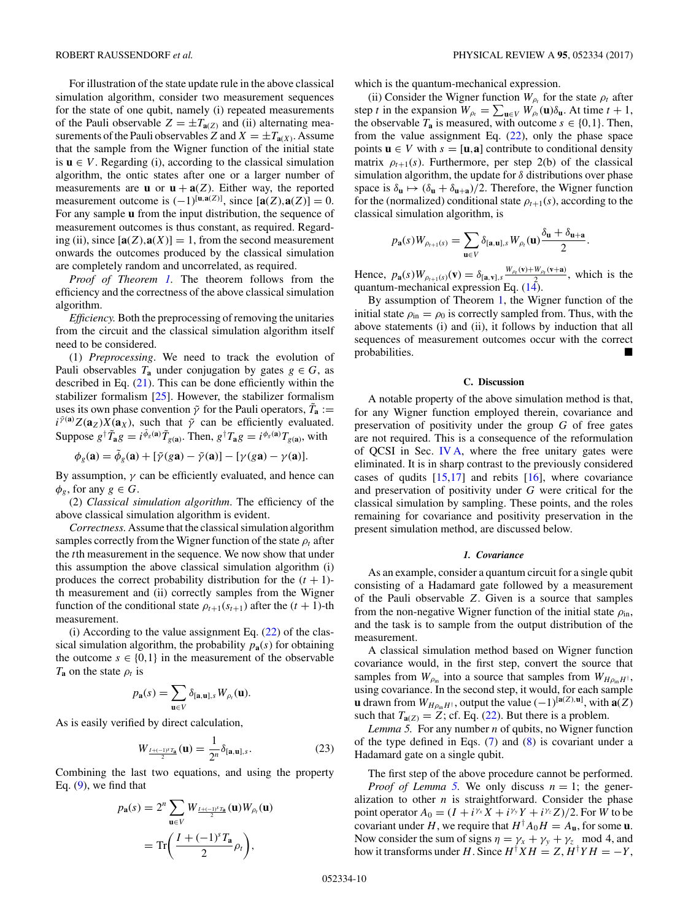<span id="page-9-0"></span>For illustration of the state update rule in the above classical simulation algorithm, consider two measurement sequences for the state of one qubit, namely (i) repeated measurements of the Pauli observable  $Z = \pm T_{a(Z)}$  and (ii) alternating measurements of the Pauli observables *Z* and  $X = \pm T_{a(X)}$ . Assume that the sample from the Wigner function of the initial state is  $\mathbf{u} \in V$ . Regarding (i), according to the classical simulation algorithm, the ontic states after one or a larger number of measurements are **u** or  $\mathbf{u} + \mathbf{a}(Z)$ . Either way, the reported measurement outcome is  $(-1)^{[\mathbf{u}, \mathbf{a}(Z)]}$ , since  $[\mathbf{a}(Z), \mathbf{a}(Z)] = 0$ . For any sample **u** from the input distribution, the sequence of measurement outcomes is thus constant, as required. Regarding (ii), since  $[\mathbf{a}(Z), \mathbf{a}(X)] = 1$ , from the second measurement onwards the outcomes produced by the classical simulation are completely random and uncorrelated, as required.

*Proof of Theorem [1.](#page-8-0)* The theorem follows from the efficiency and the correctness of the above classical simulation algorithm.

*Efficiency.* Both the preprocessing of removing the unitaries from the circuit and the classical simulation algorithm itself need to be considered.

(1) *Preprocessing*. We need to track the evolution of Pauli observables  $T_a$  under conjugation by gates  $g \in G$ , as described in Eq. [\(21\)](#page-8-0). This can be done efficiently within the stabilizer formalism [\[25\]](#page-21-0). However, the stabilizer formalism uses its own phase convention  $\tilde{\gamma}$  for the Pauli operators,  $\tilde{T}_a$  := *i*<sup> $\tilde{\gamma}$ <sup>(a</sup>) $Z(\mathbf{a}_z)X(\mathbf{a}_x)$ , such that  $\tilde{\gamma}$  can be efficiently evaluated.</sup> Suppose  $g^{\dagger} \tilde{T}_{a}g = i^{\tilde{\phi}_{g}(a)} \tilde{T}_{g(a)}$ . Then,  $g^{\dagger} T_{a}g = i^{\phi_{g}(a)} T_{g(a)}$ , with

$$
\phi_g(\mathbf{a}) = \tilde{\phi}_g(\mathbf{a}) + [\tilde{\gamma}(g\mathbf{a}) - \tilde{\gamma}(\mathbf{a})] - [\gamma(g\mathbf{a}) - \gamma(\mathbf{a})].
$$

By assumption,  $\gamma$  can be efficiently evaluated, and hence can  $\phi_g$ , for any  $g \in G$ .

(2) *Classical simulation algorithm*. The efficiency of the above classical simulation algorithm is evident.

*Correctness.* Assume that the classical simulation algorithm samples correctly from the Wigner function of the state  $\rho_t$  after the *t*th measurement in the sequence. We now show that under this assumption the above classical simulation algorithm (i) produces the correct probability distribution for the  $(t + 1)$ th measurement and (ii) correctly samples from the Wigner function of the conditional state  $\rho_{t+1}(s_{t+1})$  after the  $(t + 1)$ -th measurement.

(i) According to the value assignment Eq.  $(22)$  of the classical simulation algorithm, the probability  $p_{\mathbf{a}}(s)$  for obtaining the outcome  $s \in \{0,1\}$  in the measurement of the observable  $T_a$  on the state  $\rho_t$  is

$$
p_{\mathbf{a}}(s) = \sum_{\mathbf{u} \in V} \delta_{[\mathbf{a}, \mathbf{u}], s} W_{\rho_t}(\mathbf{u}).
$$

As is easily verified by direct calculation,

$$
W_{\frac{I+(-1)^s T_a}{2}}(\mathbf{u}) = \frac{1}{2^n} \delta_{[\mathbf{a},\mathbf{u}],s}.
$$
 (23)

Combining the last two equations, and using the property Eq.  $(9)$ , we find that

$$
p_{\mathbf{a}}(s) = 2^{n} \sum_{\mathbf{u} \in V} W_{\frac{I+(-1)^{s} T_{\mathbf{a}}}{2}}(\mathbf{u}) W_{\rho_{t}}(\mathbf{u})
$$

$$
= \text{Tr}\left(\frac{I + (-1)^{s} T_{\mathbf{a}}}{2} \rho_{t}\right),
$$

which is the quantum-mechanical expression.

(ii) Consider the Wigner function  $W_{\rho_t}$  for the state  $\rho_t$  after step *t* in the expansion  $W_{\rho_t} = \sum_{\mathbf{u} \in V} W_{\rho_t}(\mathbf{u}) \delta_{\mathbf{u}}$ . At time  $t + 1$ , the observable  $T_a$  is measured, with outcome  $s \in \{0,1\}$ . Then, from the value assignment Eq.  $(22)$ , only the phase space points  $\mathbf{u} \in V$  with  $s = [\mathbf{u}, \mathbf{a}]$  contribute to conditional density matrix  $\rho_{t+1}(s)$ . Furthermore, per step 2(b) of the classical simulation algorithm, the update for *δ* distributions over phase space is  $\delta_{\mathbf{u}} \mapsto (\delta_{\mathbf{u}} + \delta_{\mathbf{u}+\mathbf{a}})/2$ . Therefore, the Wigner function for the (normalized) conditional state  $\rho_{t+1}(s)$ , according to the classical simulation algorithm, is

$$
p_{\mathbf{a}}(s)W_{\rho_{t+1}(s)}=\sum_{\mathbf{u}\in V}\delta_{[\mathbf{a},\mathbf{u}],s}W_{\rho_t}(\mathbf{u})\frac{\delta_{\mathbf{u}}+\delta_{\mathbf{u}+\mathbf{a}}}{2}.
$$

Hence,  $p_{\bf a}(s)W_{\rho_{t+1}(s)}(\mathbf{v}) = \delta_{[\mathbf{a},\mathbf{v}],s} \frac{W_{\rho_t}(\mathbf{v}) + W_{\rho_t}(\mathbf{v}+\mathbf{a})}{2}$ , which is the quantum-mechanical expression Eq.  $(14)$ .

By assumption of Theorem [1,](#page-8-0) the Wigner function of the initial state  $\rho_{\rm in} = \rho_0$  is correctly sampled from. Thus, with the above statements (i) and (ii), it follows by induction that all sequences of measurement outcomes occur with the correct probabilities.

## **C. Discussion**

A notable property of the above simulation method is that, for any Wigner function employed therein, covariance and preservation of positivity under the group *G* of free gates are not required. This is a consequence of the reformulation of QCSI in Sec. [IV A,](#page-8-0) where the free unitary gates were eliminated. It is in sharp contrast to the previously considered cases of qudits  $[15,17]$  and rebits  $[16]$ , where covariance and preservation of positivity under *G* were critical for the classical simulation by sampling. These points, and the roles remaining for covariance and positivity preservation in the present simulation method, are discussed below.

## *1. Covariance*

As an example, consider a quantum circuit for a single qubit consisting of a Hadamard gate followed by a measurement of the Pauli observable *Z*. Given is a source that samples from the non-negative Wigner function of the initial state  $\rho_{\text{in}}$ , and the task is to sample from the output distribution of the measurement.

A classical simulation method based on Wigner function covariance would, in the first step, convert the source that samples from  $W_{\rho_{in}}$  into a source that samples from  $W_{H_{\rho_{in}}H^{\dagger}}$ , using covariance. In the second step, it would, for each sample **u** drawn from  $W_{H\rho_{\text{in}}H^{\dagger}}$ , output the value  $(-1)^{[\mathbf{a}(Z),\mathbf{u}]}$ , with  $\mathbf{a}(Z)$ such that  $T_{\mathbf{a}(Z)} = \overline{Z}$ ; cf. Eq. [\(22\)](#page-8-0). But there is a problem.

*Lemma 5.* For any number *n* of qubits, no Wigner function of the type defined in Eqs.  $(7)$  and  $(8)$  is covariant under a Hadamard gate on a single qubit.

The first step of the above procedure cannot be performed. *Proof of Lemma 5.* We only discuss  $n = 1$ ; the generalization to other  $n$  is straightforward. Consider the phase point operator  $A_0 = (I + i^{\gamma_x} X + i^{\gamma_y} Y + i^{\gamma_z} Z)/2$ . For *W* to be covariant under *H*, we require that  $H^{\dagger}A_0H = A_{\mathbf{u}}$ , for some **u**. Now consider the sum of signs  $\eta = \gamma_x + \gamma_y + \gamma_z \mod 4$ , and how it transforms under *H*. Since  $H^{\dagger} X H = Z, H^{\dagger} Y H = -Y$ ,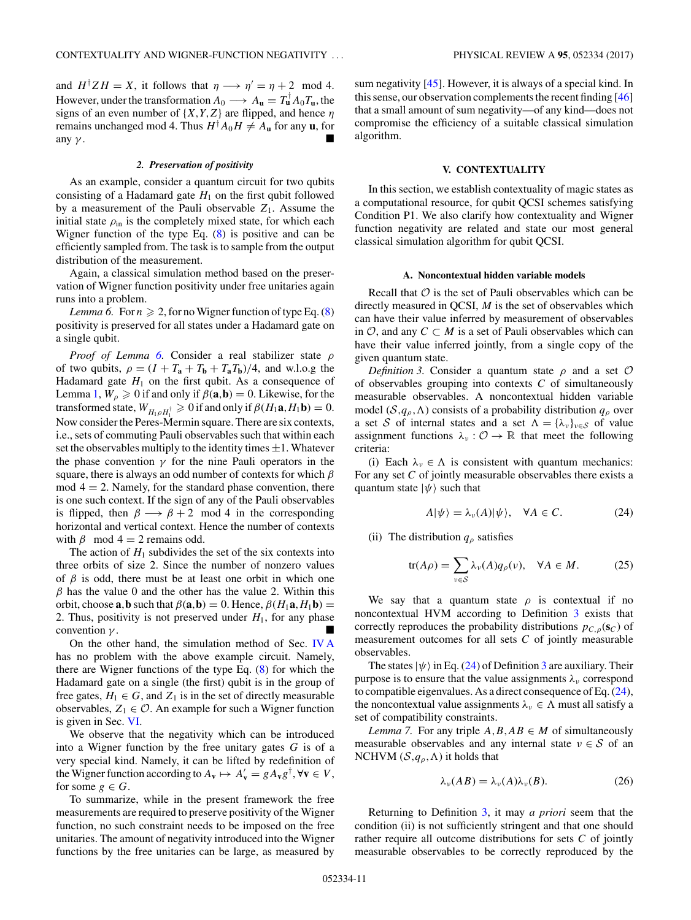<span id="page-10-0"></span>and  $H^{\dagger}ZH = X$ , it follows that  $\eta \longrightarrow \eta' = \eta + 2 \mod 4$ . However, under the transformation  $A_0 \longrightarrow A_{\mathbf{u}} = T_{\mathbf{u}}^{\dagger} A_0 T_{\mathbf{u}}$ , the signs of an even number of {*X,Y,Z*} are flipped, and hence *η* remains unchanged mod 4. Thus  $H^{\dagger}A_0H \neq A_\mathbf{u}$  for any  $\mathbf{u}$ , for any  $\gamma$ .

#### *2. Preservation of positivity*

As an example, consider a quantum circuit for two qubits consisting of a Hadamard gate  $H_1$  on the first qubit followed by a measurement of the Pauli observable  $Z_1$ . Assume the initial state  $\rho_{\text{in}}$  is the completely mixed state, for which each Wigner function of the type Eq. [\(8\)](#page-5-0) is positive and can be efficiently sampled from. The task is to sample from the output distribution of the measurement.

Again, a classical simulation method based on the preservation of Wigner function positivity under free unitaries again runs into a problem.

*Lemma 6.* For  $n \ge 2$ , for no Wigner function of type Eq. [\(8\)](#page-5-0) positivity is preserved for all states under a Hadamard gate on a single qubit.

*Proof of Lemma 6.* Consider a real stabilizer state *ρ* of two qubits,  $\rho = (I + T_a + T_b + T_a T_b)/4$ , and w.l.o.g the Hadamard gate  $H_1$  on the first qubit. As a consequence of Lemma [1,](#page-5-0)  $W_\rho \ge 0$  if and only if  $\beta(\mathbf{a}, \mathbf{b}) = 0$ . Likewise, for the transformed state,  $W_{H_1\rho H_1^{\dagger}} \ge 0$  if and only if  $\beta(H_1\mathbf{a}, H_1\mathbf{b}) = 0$ . Now consider the Peres-Mermin square. There are six contexts, i.e., sets of commuting Pauli observables such that within each set the observables multiply to the identity times  $\pm 1$ . Whatever the phase convention  $\gamma$  for the nine Pauli operators in the square, there is always an odd number of contexts for which *β*  $mod 4 = 2$ . Namely, for the standard phase convention, there is one such context. If the sign of any of the Pauli observables is flipped, then  $\beta \longrightarrow \beta + 2 \mod 4$  in the corresponding horizontal and vertical context. Hence the number of contexts with  $\beta$  mod  $4 = 2$  remains odd.

The action of  $H_1$  subdivides the set of the six contexts into three orbits of size 2. Since the number of nonzero values of *β* is odd, there must be at least one orbit in which one  $\beta$  has the value 0 and the other has the value 2. Within this orbit, choose  $\mathbf{a}$ , $\mathbf{b}$  such that  $\beta(\mathbf{a}, \mathbf{b}) = 0$ . Hence,  $\beta(H_1 \mathbf{a}, H_1 \mathbf{b}) =$ 2. Thus, positivity is not preserved under  $H_1$ , for any phase convention *γ* .

On the other hand, the simulation method of Sec. [IV A](#page-8-0) has no problem with the above example circuit. Namely, there are Wigner functions of the type Eq. [\(8\)](#page-5-0) for which the Hadamard gate on a single (the first) qubit is in the group of free gates,  $H_1 \in G$ , and  $Z_1$  is in the set of directly measurable observables,  $Z_1 \in \mathcal{O}$ . An example for such a Wigner function is given in Sec. [VI.](#page-17-0)

We observe that the negativity which can be introduced into a Wigner function by the free unitary gates *G* is of a very special kind. Namely, it can be lifted by redefinition of the Wigner function according to  $A_{\mathbf{v}} \mapsto A_{\mathbf{v}}' = g A_{\mathbf{v}} g^{\dagger}$ ,  $\forall \mathbf{v} \in V$ , for some  $g \in G$ .

To summarize, while in the present framework the free measurements are required to preserve positivity of the Wigner function, no such constraint needs to be imposed on the free unitaries. The amount of negativity introduced into the Wigner functions by the free unitaries can be large, as measured by

sum negativity [\[45\]](#page-21-0). However, it is always of a special kind. In this sense, our observation complements the recent finding [\[46\]](#page-21-0) that a small amount of sum negativity—of any kind—does not compromise the efficiency of a suitable classical simulation algorithm.

## **V. CONTEXTUALITY**

In this section, we establish contextuality of magic states as a computational resource, for qubit QCSI schemes satisfying Condition P1. We also clarify how contextuality and Wigner function negativity are related and state our most general classical simulation algorithm for qubit QCSI.

#### **A. Noncontextual hidden variable models**

Recall that  $\mathcal O$  is the set of Pauli observables which can be directly measured in QCSI, *M* is the set of observables which can have their value inferred by measurement of observables in  $\mathcal{O}$ , and any  $C \subset M$  is a set of Pauli observables which can have their value inferred jointly, from a single copy of the given quantum state.

*Definition 3.* Consider a quantum state *ρ* and a set O of observables grouping into contexts *C* of simultaneously measurable observables. A noncontextual hidden variable model ( $S, q<sub>o</sub>, \Lambda$ ) consists of a probability distribution  $q<sub>o</sub>$  over a set S of internal states and a set  $\Lambda = {\lambda_{\nu}}_{\nu \in S}$  of value assignment functions  $\lambda_{\nu} : \mathcal{O} \to \mathbb{R}$  that meet the following criteria:

(i) Each  $\lambda_{\nu} \in \Lambda$  is consistent with quantum mechanics: For any set *C* of jointly measurable observables there exists a quantum state  $|\psi\rangle$  such that

$$
A|\psi\rangle = \lambda_{\nu}(A)|\psi\rangle, \quad \forall A \in C. \tag{24}
$$

(ii) The distribution  $q_\rho$  satisfies

$$
tr(A\rho) = \sum_{\nu \in \mathcal{S}} \lambda_{\nu}(A) q_{\rho}(\nu), \quad \forall A \in M.
$$
 (25)

We say that a quantum state  $\rho$  is contextual if no noncontextual HVM according to Definition 3 exists that correctly reproduces the probability distributions  $p_{C,\rho}(s_C)$  of measurement outcomes for all sets *C* of jointly measurable observables.

The states  $|\psi\rangle$  in Eq. (24) of Definition 3 are auxiliary. Their purpose is to ensure that the value assignments  $\lambda_{\nu}$  correspond to compatible eigenvalues. As a direct consequence of Eq. (24), the noncontextual value assignments  $\lambda_{\nu} \in \Lambda$  must all satisfy a set of compatibility constraints.

*Lemma 7.* For any triple  $A, B, AB \in M$  of simultaneously measurable observables and any internal state  $v \in S$  of an NCHVM  $(S, q_\rho, \Lambda)$  it holds that

$$
\lambda_{\nu}(AB) = \lambda_{\nu}(A)\lambda_{\nu}(B). \tag{26}
$$

Returning to Definition 3, it may *a priori* seem that the condition (ii) is not sufficiently stringent and that one should rather require all outcome distributions for sets *C* of jointly measurable observables to be correctly reproduced by the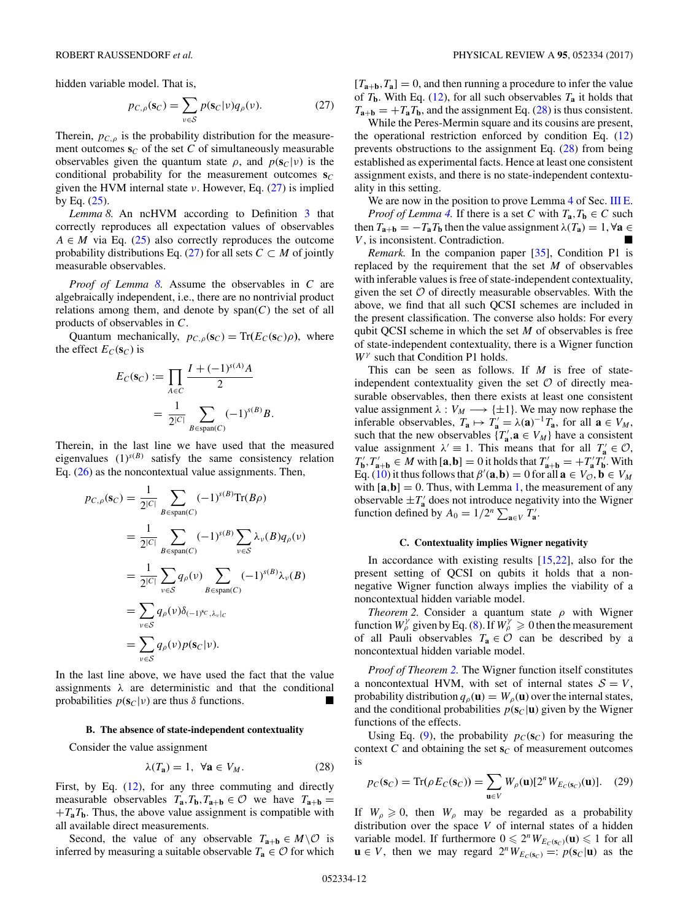<span id="page-11-0"></span>hidden variable model. That is,

$$
p_{C,\rho}(\mathbf{s}_C) = \sum_{v \in \mathcal{S}} p(\mathbf{s}_C | v) q_{\rho}(v).
$$
 (27)

Therein,  $p_{C,\rho}$  is the probability distribution for the measurement outcomes  $\mathbf{s}_C$  of the set C of simultaneously measurable observables given the quantum state  $\rho$ , and  $p(\mathbf{s}_C|\nu)$  is the conditional probability for the measurement outcomes  $s_C$ given the HVM internal state *ν*. However, Eq. (27) is implied by Eq.  $(25)$ .

*Lemma 8.* An ncHVM according to Definition [3](#page-10-0) that correctly reproduces all expectation values of observables  $A \in M$  via Eq. [\(25\)](#page-10-0) also correctly reproduces the outcome probability distributions Eq. (27) for all sets  $C \subset M$  of jointly measurable observables.

*Proof of Lemma 8.* Assume the observables in *C* are algebraically independent, i.e., there are no nontrivial product relations among them, and denote by  $span(C)$  the set of all products of observables in *C*.

Quantum mechanically,  $p_{C,\rho}(s_C) = \text{Tr}(E_C(s_C)\rho)$ , where the effect  $E_C(\mathbf{s}_C)$  is

$$
E_C(\mathbf{s}_C) := \prod_{A \in C} \frac{I + (-1)^{s(A)}A}{2}
$$
  
= 
$$
\frac{1}{2^{|C|}} \sum_{B \in span(C)} (-1)^{s(B)}B.
$$

Therein, in the last line we have used that the measured eigenvalues  $(1)^{s(B)}$  satisfy the same consistency relation Eq. [\(26\)](#page-10-0) as the noncontextual value assignments. Then,

$$
p_{C,\rho}(\mathbf{s}_C) = \frac{1}{2^{|C|}} \sum_{B \in \text{span}(C)} (-1)^{s(B)} \text{Tr}(B\rho)
$$
  
\n
$$
= \frac{1}{2^{|C|}} \sum_{B \in \text{span}(C)} (-1)^{s(B)} \sum_{v \in S} \lambda_v(B) q_\rho(v)
$$
  
\n
$$
= \frac{1}{2^{|C|}} \sum_{v \in S} q_\rho(v) \sum_{B \in \text{span}(C)} (-1)^{s(B)} \lambda_v(B)
$$
  
\n
$$
= \sum_{v \in S} q_\rho(v) \delta_{(-1)^{s_C}, \lambda_v|_C}
$$
  
\n
$$
= \sum_{v \in S} q_\rho(v) p(\mathbf{s}_C|v).
$$

In the last line above, we have used the fact that the value assignments  $\lambda$  are deterministic and that the conditional probabilities  $p(\mathbf{s}_C|\nu)$  are thus  $\delta$  functions.

## **B. The absence of state-independent contextuality**

Consider the value assignment

$$
\lambda(T_a) = 1, \ \forall a \in V_M. \tag{28}
$$

First, by Eq. [\(12\)](#page-5-0), for any three commuting and directly measurable observables  $T_a$ ,  $T_b$ ,  $T_{a+b} \in \mathcal{O}$  we have  $T_{a+b} =$  $+T_aT_b$ . Thus, the above value assignment is compatible with all available direct measurements.

Second, the value of any observable  $T_{a+b} \in M \setminus \mathcal{O}$  is inferred by measuring a suitable observable  $T_a \in \mathcal{O}$  for which

 $[T_{a+b}, T_a] = 0$ , and then running a procedure to infer the value of  $T_{\bf b}$ . With Eq. [\(12\)](#page-5-0), for all such observables  $T_{\bf a}$  it holds that  $T_{a+b} = +T_aT_b$ , and the assignment Eq. (28) is thus consistent.

While the Peres-Mermin square and its cousins are present, the operational restriction enforced by condition Eq. [\(12\)](#page-5-0) prevents obstructions to the assignment Eq. (28) from being established as experimental facts. Hence at least one consistent assignment exists, and there is no state-independent contextuality in this setting.

We are now in the position to prove Lemma [4](#page-7-0) of Sec. [III E.](#page-5-0) *Proof of Lemma* [4.](#page-7-0) If there is a set *C* with  $T_a, T_b \in C$  such then  $T_{\mathbf{a}+\mathbf{b}} = -T_{\mathbf{a}}T_{\mathbf{b}}$  then the value assignment  $\lambda(T_{\mathbf{a}}) = 1, \forall \mathbf{a} \in$ *V* , is inconsistent. Contradiction.

*Remark*. In the companion paper [\[35\]](#page-21-0), Condition P1 is replaced by the requirement that the set *M* of observables with inferable values is free of state-independent contextuality, given the set  $O$  of directly measurable observables. With the above, we find that all such QCSI schemes are included in the present classification. The converse also holds: For every qubit QCSI scheme in which the set *M* of observables is free of state-independent contextuality, there is a Wigner function *W<sup>γ</sup>* such that Condition P1 holds.

This can be seen as follows. If *M* is free of stateindependent contextuality given the set  $\mathcal O$  of directly measurable observables, then there exists at least one consistent value assignment  $\lambda : V_M \longrightarrow {\pm 1}$ . We may now rephase the inferable observables,  $T_a \mapsto T'_a = \lambda(a)^{-1} T_a$ , for all  $a \in V_M$ , such that the new observables  $\{T'_{\mathbf{a}}, \mathbf{a} \in V_M\}$  have a consistent value assignment  $\lambda' \equiv 1$ . This means that for all  $T'_a \in \mathcal{O}$ ,  $T'_{\mathbf{b}}$ ,  $T'_{\mathbf{a}+\mathbf{b}} \in M$  with  $[\mathbf{a}, \mathbf{b}] = 0$  it holds that  $T'_{\mathbf{a}+\mathbf{b}} = +T'_{\mathbf{a}}T'_{\mathbf{b}}$ . With Eq. [\(10\)](#page-5-0) it thus follows that  $\beta'(\mathbf{a}, \mathbf{b}) = 0$  for all  $\mathbf{a} \in V_{\mathcal{O}}, \mathbf{b} \in V_M$ with  $[\mathbf{a}, \mathbf{b}] = 0$ . Thus, with Lemma [1,](#page-5-0) the measurement of any observable  $\pm T_a$ <sup>'</sup> does not introduce negativity into the Wigner function defined by  $A_0 = 1/2^n \sum_{\mathbf{a} \in V} T'_{\mathbf{a}}$ .

## **C. Contextuality implies Wigner negativity**

In accordance with existing results  $[15,22]$ , also for the present setting of QCSI on qubits it holds that a nonnegative Wigner function always implies the viability of a noncontextual hidden variable model.

*Theorem 2.* Consider a quantum state *ρ* with Wigner function  $W_{\rho}^{\gamma}$  given by Eq. [\(8\)](#page-5-0). If  $W_{\rho}^{\gamma} \ge 0$  then the measurement of all Pauli observables  $T_a \in \mathcal{O}$  can be described by a noncontextual hidden variable model.

*Proof of Theorem 2.* The Wigner function itself constitutes a noncontextual HVM, with set of internal states  $S = V$ , probability distribution  $q_\rho(\mathbf{u}) = W_\rho(\mathbf{u})$  over the internal states, and the conditional probabilities  $p(s_C|\mathbf{u})$  given by the Wigner functions of the effects.

Using Eq. [\(9\)](#page-5-0), the probability  $p_C(s_C)$  for measuring the context  $C$  and obtaining the set  $\mathbf{s}_C$  of measurement outcomes is

$$
p_C(\mathbf{s}_C) = \text{Tr}(\rho E_C(\mathbf{s}_C)) = \sum_{\mathbf{u} \in V} W_\rho(\mathbf{u}) [2^n W_{E_C(\mathbf{s}_C)}(\mathbf{u})]. \quad (29)
$$

If  $W_\rho \geq 0$ , then  $W_\rho$  may be regarded as a probability distribution over the space *V* of internal states of a hidden variable model. If furthermore  $0 \leq 2^n W_{E_C(\mathbf{s}_C)}(\mathbf{u}) \leq 1$  for all **u** ∈ *V*, then we may regard  $2^n W_{E_C(s_C)} =: p(s_C | \mathbf{u})$  as the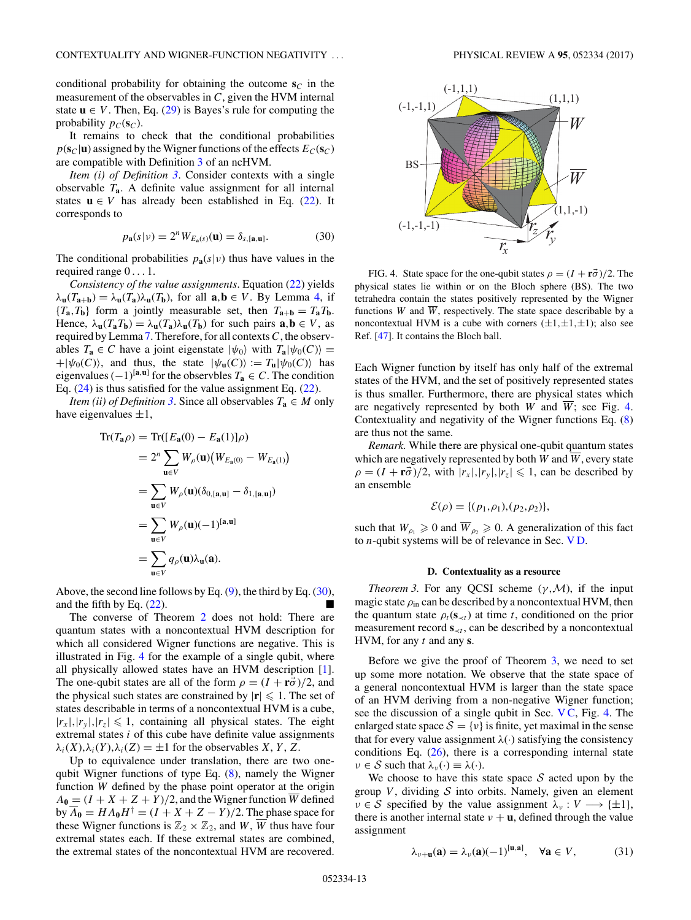<span id="page-12-0"></span>conditional probability for obtaining the outcome  $s_C$  in the measurement of the observables in *C*, given the HVM internal state  $\mathbf{u} \in V$ . Then, Eq. [\(29\)](#page-11-0) is Bayes's rule for computing the probability  $p_C(\mathbf{s}_C)$ .

It remains to check that the conditional probabilities  $p(\mathbf{s}_C|\mathbf{u})$  assigned by the Wigner functions of the effects  $E_C(\mathbf{s}_C)$ are compatible with Definition [3](#page-10-0) of an ncHVM.

*Item (i) of Definition [3](#page-10-0)*. Consider contexts with a single observable  $T_a$ . A definite value assignment for all internal states  $\mathbf{u} \in V$  has already been established in Eq. [\(22\)](#page-8-0). It corresponds to

$$
p_{\mathbf{a}}(s|\nu) = 2^{n} W_{E_{\mathbf{a}}(s)}(\mathbf{u}) = \delta_{s,[\mathbf{a},\mathbf{u}]}. \tag{30}
$$

The conditional probabilities  $p_{\bf a}(s|v)$  thus have values in the required range 0 *...* 1.

*Consistency of the value assignments*. Equation [\(22\)](#page-8-0) yields  $\lambda$ **u**(*T*<sub>**a**+</sub>**b**) =  $\lambda$ **u**(*T*<sub>**a**</sub>) $\lambda$ **u**(*T*<sub>**b**</sub>), for all **a**,**b**  $\in$  *V*. By Lemma [4,](#page-7-0) if  ${T_{\mathbf{a},T_{\mathbf{b}}}}$  form a jointly measurable set, then  $T_{\mathbf{a}+\mathbf{b}} = T_{\mathbf{a}}T_{\mathbf{b}}$ . Hence,  $\lambda_{\mathbf{u}}(T_{\mathbf{a}}T_{\mathbf{b}}) = \lambda_{\mathbf{u}}(T_{\mathbf{a}})\lambda_{\mathbf{u}}(T_{\mathbf{b}})$  for such pairs  $\mathbf{a}, \mathbf{b} \in V$ , as required by Lemma [7.](#page-10-0) Therefore, for all contexts*C*, the observables  $T_a \in C$  have a joint eigenstate  $|\psi_0\rangle$  with  $T_a|\psi_0(C)\rangle =$  $+|\psi_0(C)\rangle$ , and thus, the state  $|\psi_u(C)\rangle := T_u|\psi_0(C)\rangle$  has eigenvalues  $(-1)^{[a, u]}$  for the observbles  $T_a \in C$ . The condition Eq. [\(24\)](#page-10-0) is thus satisfied for the value assignment Eq. [\(22\)](#page-8-0).

*Item (ii) of Definition* [3](#page-10-0). Since all observables  $T_a \in M$  only have eigenvalues  $\pm 1$ ,

$$
\operatorname{Tr}(T_{\mathbf{a}}\rho) = \operatorname{Tr}([E_{\mathbf{a}}(0) - E_{\mathbf{a}}(1)]\rho)
$$
  
\n
$$
= 2^{n} \sum_{\mathbf{u} \in V} W_{\rho}(\mathbf{u}) (W_{E_{\mathbf{a}}(0)} - W_{E_{\mathbf{a}}(1)})
$$
  
\n
$$
= \sum_{\mathbf{u} \in V} W_{\rho}(\mathbf{u}) (\delta_{0,[\mathbf{a},\mathbf{u}]} - \delta_{1,[\mathbf{a},\mathbf{u}]})
$$
  
\n
$$
= \sum_{\mathbf{u} \in V} W_{\rho}(\mathbf{u})(-1)^{[\mathbf{a},\mathbf{u}]}
$$
  
\n
$$
= \sum_{\mathbf{u} \in V} q_{\rho}(\mathbf{u}) \lambda_{\mathbf{u}}(\mathbf{a}).
$$

Above, the second line follows by Eq.  $(9)$ , the third by Eq.  $(30)$ , and the fifth by Eq. [\(22\)](#page-8-0).

The converse of Theorem [2](#page-11-0) does not hold: There are quantum states with a noncontextual HVM description for which all considered Wigner functions are negative. This is illustrated in Fig. 4 for the example of a single qubit, where all physically allowed states have an HVM description [\[1\]](#page-20-0). The one-qubit states are all of the form  $\rho = (I + \mathbf{r}\vec{\sigma})/2$ , and the physical such states are constrained by  $|\mathbf{r}| \leq 1$ . The set of states describable in terms of a noncontextual HVM is a cube,  $|r_{x}|, |r_{y}|, |r_{z}| \leq 1$ , containing all physical states. The eight extremal states *i* of this cube have definite value assignments  $λ_i(X), λ_i(Y), λ_i(Z) = ±1$  for the observables *X*, *Y*, *Z*.

Up to equivalence under translation, there are two onequbit Wigner functions of type Eq. [\(8\)](#page-5-0), namely the Wigner function *W* defined by the phase point operator at the origin  $A_0 = (I + X + Z + Y)/2$ , and the Wigner function *W* defined  $\overline{A}_0 = H A_0 H^{\dagger} = (I + X + Z - Y)/2$ . The phase space for these Wigner functions is  $\mathbb{Z}_2 \times \mathbb{Z}_2$ , and *W*,  $\overline{W}$  thus have four extremal states each. If these extremal states are combined, the extremal states of the noncontextual HVM are recovered.



FIG. 4. State space for the one-qubit states  $\rho = (I + r\vec{\sigma})/2$ . The physical states lie within or on the Bloch sphere (BS). The two tetrahedra contain the states positively represented by the Wigner functions *W* and  $\overline{W}$ , respectively. The state space describable by a noncontextual HVM is a cube with corners  $(\pm 1, \pm 1, \pm 1)$ ; also see Ref. [\[47\]](#page-21-0). It contains the Bloch ball.

Each Wigner function by itself has only half of the extremal states of the HVM, and the set of positively represented states is thus smaller. Furthermore, there are physical states which are negatively represented by both *W* and  $\overline{W}$ ; see Fig. 4. Contextuality and negativity of the Wigner functions Eq. [\(8\)](#page-5-0) are thus not the same.

*Remark.* While there are physical one-qubit quantum states which are negatively represented by both *W* and  $\overline{W}$ , every state  $\rho = (I + r\vec{\sigma})/2$ , with  $|r_x|, |r_y|, |r_z| \leq 1$ , can be described by an ensemble

$$
\mathcal{E}(\rho) = \{ (p_1, \rho_1), (p_2, \rho_2) \},\
$$

such that  $W_{\rho_1} \geq 0$  and  $W_{\rho_2} \geq 0$ . A generalization of this fact to *n*-qubit systems will be of relevance in Sec. V D.

### **D. Contextuality as a resource**

*Theorem 3.* For any QCSI scheme  $(\gamma, \mathcal{M})$ , if the input magic state  $\rho_{\text{in}}$  can be described by a noncontextual HVM, then the quantum state  $\rho_t(s_{\prec t})$  at time *t*, conditioned on the prior measurement record  $\mathbf{s}_{\lt t}$ , can be described by a noncontextual HVM, for any *t* and any **s**.

Before we give the proof of Theorem 3, we need to set up some more notation. We observe that the state space of a general noncontextual HVM is larger than the state space of an HVM deriving from a non-negative Wigner function; see the discussion of a single qubit in Sec. [V C,](#page-11-0) Fig. 4. The enlarged state space  $S = \{v\}$  is finite, yet maximal in the sense that for every value assignment  $\lambda(\cdot)$  satisfying the consistency conditions Eq.  $(26)$ , there is a corresponding internal state  $\nu \in S$  such that  $\lambda_{\nu}(\cdot) \equiv \lambda(\cdot)$ .

We choose to have this state space  $S$  acted upon by the group  $V$ , dividing  $S$  into orbits. Namely, given an element  $\nu \in S$  specified by the value assignment  $\lambda_{\nu}: V \longrightarrow {\pm 1},$ there is another internal state  $\nu + \mathbf{u}$ , defined through the value assignment

$$
\lambda_{\nu+\mathbf{u}}(\mathbf{a}) = \lambda_{\nu}(\mathbf{a})(-1)^{[\mathbf{u},\mathbf{a}]}, \quad \forall \mathbf{a} \in V, \tag{31}
$$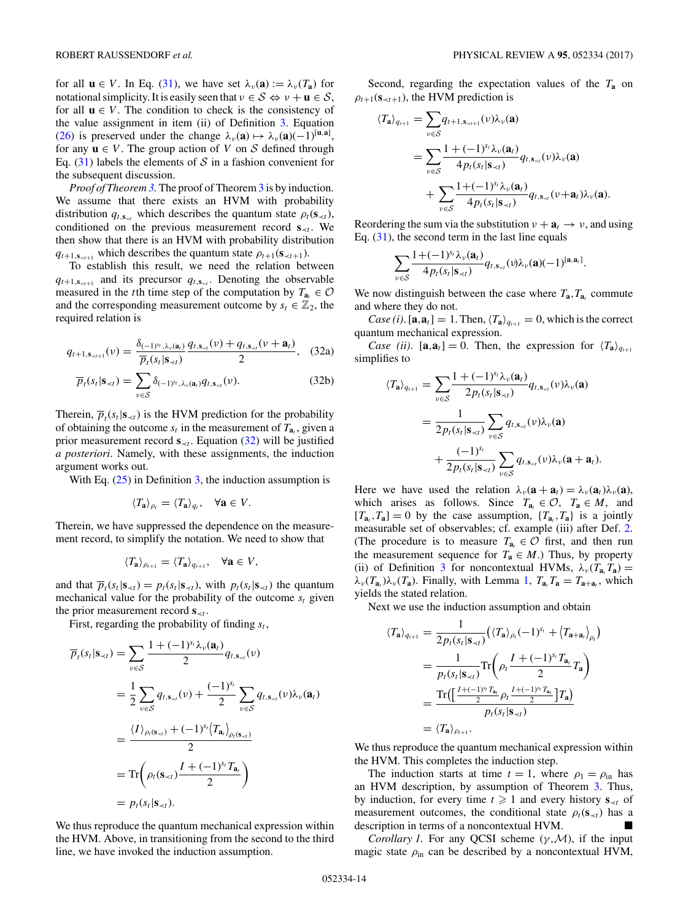<span id="page-13-0"></span>for all  $\mathbf{u} \in V$ . In Eq. [\(31\)](#page-12-0), we have set  $\lambda_{\nu}(\mathbf{a}) := \lambda_{\nu}(T_{\mathbf{a}})$  for notational simplicity. It is easily seen that  $v \in S \Leftrightarrow v + \mathbf{u} \in S$ , for all  $\mathbf{u} \in V$ . The condition to check is the consistency of the value assignment in item (ii) of Definition [3.](#page-10-0) Equation [\(26\)](#page-10-0) is preserved under the change  $\lambda_{\nu}(\mathbf{a}) \mapsto \lambda_{\nu}(\mathbf{a})(-1)^{[\mathbf{u},\mathbf{a}]},$ for any  $\mathbf{u} \in V$ . The group action of *V* on *S* defined through Eq.  $(31)$  labels the elements of S in a fashion convenient for the subsequent discussion.

*Proof of Theorem [3.](#page-12-0)* The proof of Theorem [3](#page-12-0) is by induction. We assume that there exists an HVM with probability distribution  $q_{t, \mathbf{s}_{\prec t}}$  which describes the quantum state  $\rho_t(\mathbf{s}_{\prec t})$ , conditioned on the previous measurement record  $\mathbf{s}_{\prec t}$ . We then show that there is an HVM with probability distribution  $q_{t+1,s_{-t+1}}$  which describes the quantum state  $\rho_{t+1}(\mathbf{s}_{-t+1})$ .

To establish this result, we need the relation between  $q_{t+1, s_{\leq t+1}}$  and its precursor  $q_{t,s_{\leq t}}$ . Denoting the observable measured in the *t*th time step of the computation by  $T_{a_t} \in \mathcal{O}$ and the corresponding measurement outcome by  $s_t \in \mathbb{Z}_2$ , the required relation is

$$
q_{t+1,\mathbf{s}_{\prec t+1}}(\nu) = \frac{\delta_{(-1)^{y_t},\lambda_{\nu}(\mathbf{a}_t)}}{\overline{p}_t(s_t|\mathbf{s}_{\prec t})} \frac{q_{t,\mathbf{s}_{\prec t}}(\nu) + q_{t,\mathbf{s}_{\prec t}}(\nu + \mathbf{a}_t)}{2},
$$
 (32a)

$$
\overline{p}_t(s_t|\mathbf{s}_{\prec t}) = \sum_{v \in \mathcal{S}} \delta_{(-1)^{s_t}, \lambda_v(\mathbf{a}_t)} q_{t, \mathbf{s}_{\prec t}}(v).
$$
 (32b)

Therein,  $\overline{p}_t(s_t|\mathbf{s}_{\prec t})$  is the HVM prediction for the probability of obtaining the outcome  $s_t$  in the measurement of  $T_{a_t}$ , given a prior measurement record  $\mathbf{s}_{\lt t}$ . Equation (32) will be justified *a posteriori*. Namely, with these assignments, the induction argument works out.

With Eq.  $(25)$  in Definition [3,](#page-10-0) the induction assumption is

$$
\langle T_{\mathbf{a}} \rangle_{\rho_t} = \langle T_{\mathbf{a}} \rangle_{q_t}, \quad \forall \mathbf{a} \in V.
$$

Therein, we have suppressed the dependence on the measurement record, to simplify the notation. We need to show that

$$
\langle T_{\mathbf{a}} \rangle_{\rho_{t+1}} = \langle T_{\mathbf{a}} \rangle_{q_{t+1}}, \quad \forall \mathbf{a} \in V,
$$

and that  $\overline{p}_t(s_t|\mathbf{s}_{\prec t}) = p_t(s_t|\mathbf{s}_{\prec t})$ , with  $p_t(s_t|\mathbf{s}_{\prec t})$  the quantum mechanical value for the probability of the outcome  $s_t$  given the prior measurement record  $\mathbf{s}_{\prec t}$ .

First, regarding the probability of finding  $s_t$ ,

$$
\overline{p}_t(s_t | \mathbf{s}_{\prec t}) = \sum_{v \in S} \frac{1 + (-1)^{s_t} \lambda_v(\mathbf{a}_t)}{2} q_{t, \mathbf{s}_{\prec t}}(v)
$$
  
\n
$$
= \frac{1}{2} \sum_{v \in S} q_{t, \mathbf{s}_{\prec t}}(v) + \frac{(-1)^{s_t}}{2} \sum_{v \in S} q_{t, \mathbf{s}_{\prec t}}(v) \lambda_v(\mathbf{a}_t)
$$
  
\n
$$
= \frac{\langle I \rangle_{\rho_t(\mathbf{s}_{\prec t})} + (-1)^{s_t} \langle T_{\mathbf{a}_t} \rangle_{\rho_t(\mathbf{s}_{\prec t})}}{2}
$$
  
\n
$$
= \text{Tr} \left( \rho_t(\mathbf{s}_{\prec t}) \frac{I + (-1)^{s_t} T_{\mathbf{a}_t}}{2} \right)
$$
  
\n
$$
= p_t(s_t | \mathbf{s}_{\prec t}).
$$

We thus reproduce the quantum mechanical expression within the HVM. Above, in transitioning from the second to the third line, we have invoked the induction assumption.

Second, regarding the expectation values of the *T***<sup>a</sup>** on  $\rho_{t+1}(\mathbf{s}_{\prec t+1})$ , the HVM prediction is

$$
\langle T_{\mathbf{a}} \rangle_{q_{t+1}} = \sum_{v \in S} q_{t+1, \mathbf{s}_{\prec t+1}}(v) \lambda_v(\mathbf{a})
$$
  
= 
$$
\sum_{v \in S} \frac{1 + (-1)^{s_t} \lambda_v(\mathbf{a}_t)}{4 p_t(s_t | \mathbf{s}_{\prec t})} q_{t, \mathbf{s}_{\prec t}}(v) \lambda_v(\mathbf{a})
$$
  
+ 
$$
\sum_{v \in S} \frac{1 + (-1)^{s_t} \lambda_v(\mathbf{a}_t)}{4 p_t(s_t | \mathbf{s}_{\prec t})} q_{t, \mathbf{s}_{\prec t}}(v + \mathbf{a}_t) \lambda_v(\mathbf{a}).
$$

Reordering the sum via the substitution  $v + a_t \rightarrow v$ , and using Eq.  $(31)$ , the second term in the last line equals

$$
\sum_{\nu\in\mathcal{S}}\frac{1+(-1)^{s_r}\lambda_{\nu}(\mathbf{a}_t)}{4p_t(s_t|\mathbf{s}_{\prec t})}q_{t,\mathbf{s}_{\prec t}}(\nu)\lambda_{\nu}(\mathbf{a})(-1)^{[\mathbf{a},\mathbf{a}_t]}.
$$

We now distinguish between the case where  $T_a$ ,  $T_a$ , commute and where they do not.

*Case (i)*. [ $\mathbf{a}, \mathbf{a}_t$ ] = 1. Then,  $\langle T_{\mathbf{a}} \rangle_{q_{t+1}} = 0$ , which is the correct quantum mechanical expression.

*Case (ii)*. [ $\mathbf{a}, \mathbf{a}_t$ ] = 0. Then, the expression for  $\langle T_{\mathbf{a}} \rangle_{q_{t+1}}$ simplifies to

$$
\langle T_{\mathbf{a}} \rangle_{q_{t+1}} = \sum_{\nu \in S} \frac{1 + (-1)^{s_t} \lambda_{\nu}(\mathbf{a}_t)}{2 p_t(s_t | \mathbf{s}_{\prec t})} q_{t, \mathbf{s}_{\prec t}}(\nu) \lambda_{\nu}(\mathbf{a})
$$
  
= 
$$
\frac{1}{2 p_t(s_t | \mathbf{s}_{\prec t})} \sum_{\nu \in S} q_{t, \mathbf{s}_{\prec t}}(\nu) \lambda_{\nu}(\mathbf{a})
$$
  
+ 
$$
\frac{(-1)^{s_t}}{2 p_t(s_t | \mathbf{s}_{\prec t})} \sum_{\nu \in S} q_{t, \mathbf{s}_{\prec t}}(\nu) \lambda_{\nu}(\mathbf{a} + \mathbf{a}_t).
$$

Here we have used the relation  $\lambda_{\nu}(\mathbf{a} + \mathbf{a}_t) = \lambda_{\nu}(\mathbf{a}_t)\lambda_{\nu}(\mathbf{a}),$ which arises as follows. Since  $T_{a_t} \in \mathcal{O}$ ,  $T_a \in M$ , and  $[T_{a_t}, T_{a}] = 0$  by the case assumption,  $\{T_{a_t}, T_{a}\}$  is a jointly measurable set of observables; cf. example (iii) after Def. [2.](#page-7-0) (The procedure is to measure  $T_{a} \in \mathcal{O}$  first, and then run the measurement sequence for  $T_a \in M$ .) Thus, by property (ii) of Definition [3](#page-10-0) for noncontextual HVMs,  $\lambda_{\nu}(T_{a}T_{a}) =$  $λ_{\nu}(T_{a_{\nu}})\lambda_{\nu}(T_{a})$ . Finally, with Lemma [1,](#page-5-0)  $T_{a_{\nu}}T_{a} = T_{a+a_{\nu}}$ , which yields the stated relation.

Next we use the induction assumption and obtain

$$
\langle T_{\mathbf{a}} \rangle_{q_{t+1}} = \frac{1}{2p_t(s_t|\mathbf{s}_{\prec t})} \left( \langle T_{\mathbf{a}} \rangle_{\rho_t} (-1)^{s_t} + \langle T_{\mathbf{a}+\mathbf{a}_t} \rangle_{\rho_t} \right)
$$
  
\n
$$
= \frac{1}{p_t(s_t|\mathbf{s}_{\prec t})} \text{Tr} \left( \rho_t \frac{I + (-1)^{s_t} T_{\mathbf{a}_t}}{2} T_{\mathbf{a}} \right)
$$
  
\n
$$
= \frac{\text{Tr} \left( \left[ \frac{I + (-1)^{s_t} T_{\mathbf{a}_t}}{2} \rho_t \frac{I + (-1)^{s_t} T_{\mathbf{a}_t}}{2} \right] T_{\mathbf{a}} \right)}{p_t(s_t|\mathbf{s}_{\prec t})}
$$
  
\n
$$
= \langle T_{\mathbf{a}} \rangle_{\rho_{t+1}}.
$$

We thus reproduce the quantum mechanical expression within the HVM. This completes the induction step.

The induction starts at time  $t = 1$ , where  $\rho_1 = \rho_{\text{in}}$  has an HVM description, by assumption of Theorem [3.](#page-12-0) Thus, by induction, for every time  $t \geq 1$  and every history  $\mathbf{s}_{\prec t}$  of measurement outcomes, the conditional state  $\rho_t(\mathbf{s}_{\prec t})$  has a description in terms of a noncontextual HVM.

*Corollary 1.* For any QCSI scheme (*γ,*M), if the input magic state  $\rho_{\text{in}}$  can be described by a noncontextual HVM,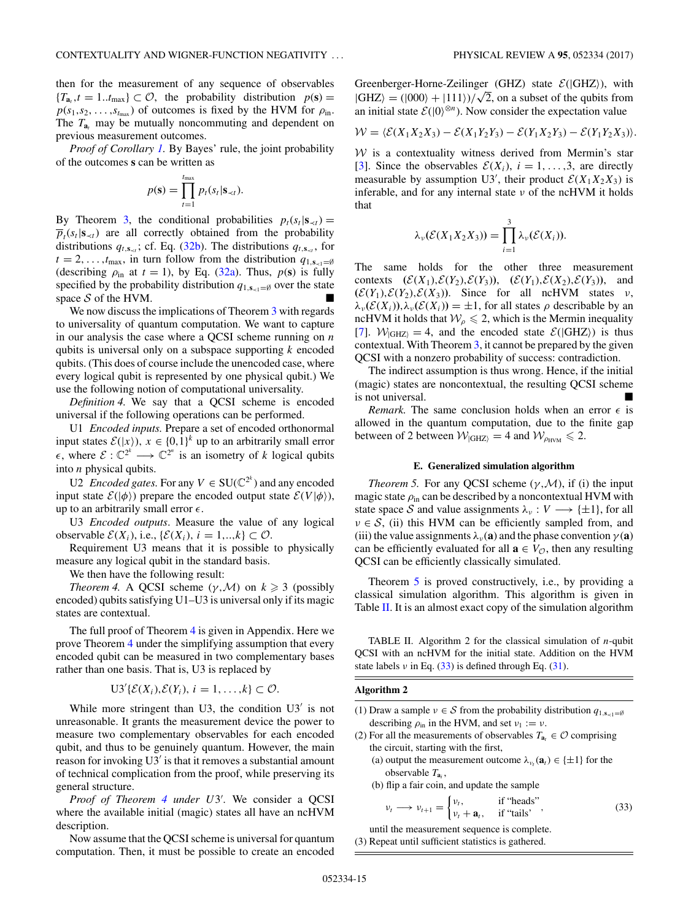<span id="page-14-0"></span>then for the measurement of any sequence of observables  ${T}_{a_t}, t = 1..t_{\text{max}} \subset \mathcal{O}$ , the probability distribution  $p(\mathbf{s}) =$  $p(s_1, s_2, \ldots, s_{t_{\text{max}}})$  of outcomes is fixed by the HVM for  $\rho_{\text{in}}$ . The  $T_{a_t}$  may be mutually noncommuting and dependent on previous measurement outcomes.

*Proof of Corollary [1.](#page-13-0)* By Bayes' rule, the joint probability of the outcomes **s** can be written as

$$
p(\mathbf{s}) = \prod_{t=1}^{t_{\text{max}}} p_t(s_t | \mathbf{s}_{\prec t}).
$$

By Theorem [3,](#page-12-0) the conditional probabilities  $p_t(s_t|\mathbf{s}_{\prec t}) =$  $\overline{p}_t(s_t|\mathbf{s}_{\prec t})$  are all correctly obtained from the probability distributions  $q_{t, \mathbf{s}_{\prec t}}$ ; cf. Eq. [\(32b\)](#page-13-0). The distributions  $q_{t, \mathbf{s}_{\prec t}}$ , for  $t = 2, \ldots, t_{\text{max}}$ , in turn follow from the distribution  $q_{1, s_{\text{max}}} = \emptyset$ (describing  $\rho_{\text{in}}$  at  $t = 1$ ), by Eq. [\(32a\)](#page-13-0). Thus,  $p(\mathbf{s})$  is fully specified by the probability distribution  $q_{1,s_{\leq 1}=\emptyset}$  over the state space  $S$  of the HVM.

We now discuss the implications of Theorem [3](#page-12-0) with regards to universality of quantum computation. We want to capture in our analysis the case where a QCSI scheme running on *n* qubits is universal only on a subspace supporting *k* encoded qubits. (This does of course include the unencoded case, where every logical qubit is represented by one physical qubit.) We use the following notion of computational universality.

*Definition 4.* We say that a QCSI scheme is encoded universal if the following operations can be performed.

U1 *Encoded inputs.* Prepare a set of encoded orthonormal input states  $\mathcal{E}(|x\rangle)$ ,  $x \in \{0,1\}^k$  up to an arbitrarily small error  $\epsilon$ , where  $\mathcal{E}: \mathbb{C}^{2^k} \longrightarrow \mathbb{C}^{2^n}$  is an isometry of *k* logical qubits into *n* physical qubits.

U2 *Encoded gates.* For any  $V \in SU(\mathbb{C}^{2^k})$  and any encoded input state  $\mathcal{E}(|\phi\rangle)$  prepare the encoded output state  $\mathcal{E}(V|\phi\rangle)$ , up to an arbitrarily small error  $\epsilon$ .

U3 *Encoded outputs*. Measure the value of any logical observable  $\mathcal{E}(X_i)$ , i.e.,  $\{\mathcal{E}(X_i), i = 1,..,k\} \subset \mathcal{O}$ .

Requirement U3 means that it is possible to physically measure any logical qubit in the standard basis.

We then have the following result:

*Theorem 4.* A QCSI scheme  $(\gamma, \mathcal{M})$  on  $k \ge 3$  (possibly encoded) qubits satisfying U1–U3 is universal only if its magic states are contextual.

The full proof of Theorem 4 is given in Appendix. Here we prove Theorem 4 under the simplifying assumption that every encoded qubit can be measured in two complementary bases rather than one basis. That is, U3 is replaced by

$$
U3'\{\mathcal{E}(X_i), \mathcal{E}(Y_i), i=1,\ldots,k\} \subset \mathcal{O}.
$$

While more stringent than U3, the condition  $U3'$  is not unreasonable. It grants the measurement device the power to measure two complementary observables for each encoded qubit, and thus to be genuinely quantum. However, the main reason for invoking U3' is that it removes a substantial amount of technical complication from the proof, while preserving its general structure.

*Proof of Theorem 4 under U*3 *.* We consider a QCSI where the available initial (magic) states all have an ncHVM description.

Now assume that the QCSI scheme is universal for quantum computation. Then, it must be possible to create an encoded Greenberger-Horne-Zeilinger (GHZ) state  $\mathcal{E}(|GHZ\rangle)$ , with Greenberger-Horne-Zeilinger (GHZ) state  $\mathcal{E}(|GHZ\rangle)$ , with<br> $|GHZ\rangle = (|000\rangle + |111\rangle)/\sqrt{2}$ , on a subset of the qubits from an initial state  $\mathcal{E}(|0\rangle^{\otimes n})$ . Now consider the expectation value

$$
\mathcal{W} = \langle \mathcal{E}(X_1X_2X_3) - \mathcal{E}(X_1Y_2Y_3) - \mathcal{E}(Y_1X_2Y_3) - \mathcal{E}(Y_1Y_2X_3) \rangle.
$$

 $W$  is a contextuality witness derived from Mermin's star [\[3\]](#page-20-0). Since the observables  $\mathcal{E}(X_i)$ ,  $i = 1, \ldots, 3$ , are directly measurable by assumption U3', their product  $\mathcal{E}(X_1X_2X_3)$  is inferable, and for any internal state *ν* of the ncHVM it holds that

$$
\lambda_{\nu}(\mathcal{E}(X_1X_2X_3))=\prod_{i=1}^3\lambda_{\nu}(\mathcal{E}(X_i)).
$$

The same holds for the other three measurement contexts  $(\mathcal{E}(X_1), \mathcal{E}(Y_2), \mathcal{E}(Y_3))$ ,  $(\mathcal{E}(Y_1), \mathcal{E}(X_2), \mathcal{E}(Y_3))$ , and  $(\mathcal{E}(Y_1), \mathcal{E}(Y_2), \mathcal{E}(X_3))$ . Since for all ncHVM states *ν*,  $\lambda_{\nu}(\mathcal{E}(X_i))$ ,  $\lambda_{\nu}(\mathcal{E}(X_i)) = \pm 1$ , for all states  $\rho$  describable by an ncHVM it holds that  $W_\rho \leq 2$ , which is the Mermin inequality [\[7\]](#page-20-0).  $W_{\text{[GHz]}} = 4$ , and the encoded state  $\mathcal{E}(\text{[GHz]})$  is thus contextual. With Theorem [3,](#page-12-0) it cannot be prepared by the given QCSI with a nonzero probability of success: contradiction.

The indirect assumption is thus wrong. Hence, if the initial (magic) states are noncontextual, the resulting QCSI scheme is not universal.

*Remark.* The same conclusion holds when an error  $\epsilon$  is allowed in the quantum computation, due to the finite gap between of 2 between  $\mathcal{W}_{|GHZ\rangle} = 4$  and  $\mathcal{W}_{\rho_{HVM}} \leq 2$ .

## **E. Generalized simulation algorithm**

*Theorem 5.* For any QCSI scheme  $(\gamma, \mathcal{M})$ , if (i) the input magic state *ρ*in can be described by a noncontextual HVM with state space S and value assignments  $\lambda_{\nu}: V \longrightarrow {\pm 1}$ , for all  $\nu \in S$ , (ii) this HVM can be efficiently sampled from, and (iii) the value assignments  $\lambda_{\nu}(\mathbf{a})$  and the phase convention  $\gamma(\mathbf{a})$ can be efficiently evaluated for all  $\mathbf{a} \in V_{\mathcal{O}}$ , then any resulting QCSI can be efficiently classically simulated.

Theorem 5 is proved constructively, i.e., by providing a classical simulation algorithm. This algorithm is given in Table II. It is an almost exact copy of the simulation algorithm

TABLE II. Algorithm 2 for the classical simulation of *n*-qubit QCSI with an ncHVM for the initial state. Addition on the HVM state labels  $\nu$  in Eq. (33) is defined through Eq. [\(31\)](#page-12-0).

#### **Algorithm 2**

- (1) Draw a sample  $v \in S$  from the probability distribution  $q_{1,s_{\leq t}=\emptyset}$ describing  $\rho_{\text{in}}$  in the HVM, and set  $\nu_1 := \nu$ .
- (2) For all the measurements of observables  $T_{a} \in \mathcal{O}$  comprising the circuit, starting with the first, (a) output the measurement outcome  $\lambda_{\nu}(\mathbf{a}_t) \in \{\pm 1\}$  for the
	- observable *T***<sup>a</sup>***<sup>i</sup>* ,
	- (b) flip a fair coin, and update the sample

$$
v_t \longrightarrow v_{t+1} = \begin{cases} v_t, & \text{if "heads"} \\ v_t + \mathbf{a}_t, & \text{if "tails"} \end{cases}, \tag{33}
$$

until the measurement sequence is complete. (3) Repeat until sufficient statistics is gathered.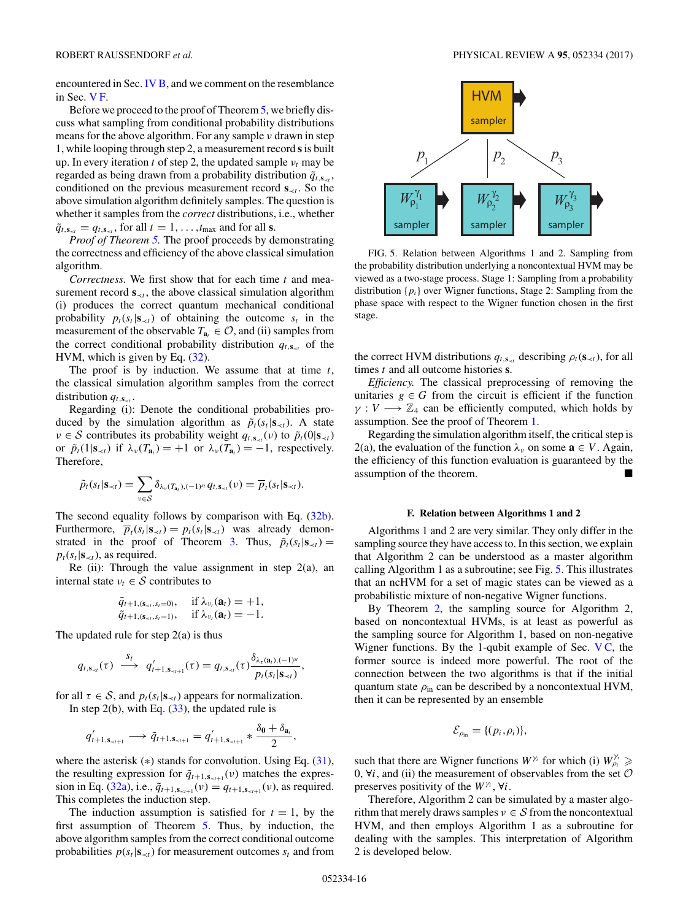<span id="page-15-0"></span>encountered in Sec. [IV B,](#page-8-0) and we comment on the resemblance in Sec. V F.

Before we proceed to the proof of Theorem [5,](#page-14-0) we briefly discuss what sampling from conditional probability distributions means for the above algorithm. For any sample *ν* drawn in step 1, while looping through step 2, a measurement record **s**is built up. In every iteration *t* of step 2, the updated sample  $v_t$  may be regarded as being drawn from a probability distribution  $\tilde{q}_{t, s_{\prec t}}$ , conditioned on the previous measurement record  $\mathbf{s}_{\prec t}$ . So the above simulation algorithm definitely samples. The question is whether it samples from the *correct* distributions, i.e., whether  $\tilde{q}_{t,\mathbf{s}_{\prec t}} = q_{t,\mathbf{s}_{\prec t}}$ , for all  $t = 1, \ldots, t_{\text{max}}$  and for all **s**.

*Proof of Theorem [5.](#page-14-0)* The proof proceeds by demonstrating the correctness and efficiency of the above classical simulation algorithm.

*Correctness.* We first show that for each time *t* and measurement record  $\mathbf{s}_{\prec t}$ , the above classical simulation algorithm (i) produces the correct quantum mechanical conditional probability  $p_t(s_t|\mathbf{s}_{\prec t})$  of obtaining the outcome  $s_t$  in the measurement of the observable  $T_{a} \in \mathcal{O}$ , and (ii) samples from the correct conditional probability distribution  $q_{t, s_{\sim t}}$  of the HVM, which is given by Eq. [\(32\)](#page-13-0).

The proof is by induction. We assume that at time *t*, the classical simulation algorithm samples from the correct distribution  $q_{t,s}$ .

Regarding (i): Denote the conditional probabilities produced by the simulation algorithm as  $\tilde{p}_t(s_t|\mathbf{s}_{\prec t})$ . A state  $\nu \in S$  contributes its probability weight  $q_{t,s_{\leq t}}(\nu)$  to  $\tilde{p}_t(0|\mathbf{s}_{\leq t})$ or  $\tilde{p}_t(1|\mathbf{s}_{\prec t})$  if  $\lambda_v(T_{\mathbf{a}_t}) = +1$  or  $\lambda_v(T_{\mathbf{a}_t}) = -1$ , respectively. Therefore,

$$
\tilde{p}_t(s_t|\mathbf{s}_{\prec t}) = \sum_{v \in S} \delta_{\lambda_v(T_{\mathbf{a}_t}), (-1)^{s_t}} q_{t, \mathbf{s}_{\prec t}}(v) = \overline{p}_t(s_t|\mathbf{s}_{\prec t}).
$$

The second equality follows by comparison with Eq. [\(32b\)](#page-13-0). Furthermore,  $\overline{p}_t(s_t|\mathbf{s}_{\prec t}) = p_t(s_t|\mathbf{s}_{\prec t})$  was already demon-strated in the proof of Theorem [3.](#page-12-0) Thus,  $\tilde{p}_t(s_t|\mathbf{s}_{\prec t}) =$  $p_t(s_t|\mathbf{s}_{\prec t})$ , as required.

Re (ii): Through the value assignment in step  $2(a)$ , an internal state  $v_t \in S$  contributes to

$$
\tilde{q}_{t+1,(\mathbf{s}_{\prec t},s_t=0)}, \quad \text{if } \lambda_{\nu_t}(\mathbf{a}_t) = +1, \tilde{q}_{t+1,(\mathbf{s}_{\prec t},s_t=1)}, \quad \text{if } \lambda_{\nu_t}(\mathbf{a}_t) = -1.
$$

The updated rule for step  $2(a)$  is thus

$$
q_{t, \mathbf{s}_{\prec t}}(\tau) \stackrel{S_t}{\longrightarrow} q'_{t+1, \mathbf{s}_{\prec t+1}}(\tau) = q_{t, \mathbf{s}_{\prec t}}(\tau) \frac{\delta_{\lambda_{\tau}(\mathbf{a}_t), (-1)^{s_t}}}{p_t(s_t | \mathbf{s}_{\prec t})},
$$

for all  $\tau \in S$ , and  $p_t(s_t|\mathbf{s}_{\prec t})$  appears for normalization. In step 2(b), with Eq.  $(33)$ , the updated rule is

$$
q'_{t+1,\mathbf{s}_{\prec t+1}} \longrightarrow \tilde{q}_{t+1,\mathbf{s}_{\prec t+1}} = q'_{t+1,\mathbf{s}_{\prec t+1}} * \frac{\delta_{\mathbf{0}} + \delta_{\mathbf{a}_t}}{2},
$$

where the asterisk  $(*)$  stands for convolution. Using Eq.  $(31)$ , the resulting expression for  $\tilde{q}_{t+1,s_{\leq t+1}}(\nu)$  matches the expres-sion in Eq. [\(32a\)](#page-13-0), i.e.,  $\tilde{q}_{t+1, s_{\le t+1}}(\nu) = q_{t+1, s_{\le t+1}}(\nu)$ , as required. This completes the induction step.

The induction assumption is satisfied for  $t = 1$ , by the first assumption of Theorem [5.](#page-14-0) Thus, by induction, the above algorithm samples from the correct conditional outcome probabilities  $p(s_t|\mathbf{s}_{\prec t})$  for measurement outcomes  $s_t$  and from



FIG. 5. Relation between Algorithms 1 and 2. Sampling from the probability distribution underlying a noncontextual HVM may be viewed as a two-stage process. Stage 1: Sampling from a probability distribution  $\{p_i\}$  over Wigner functions, Stage 2: Sampling from the phase space with respect to the Wigner function chosen in the first stage.

the correct HVM distributions  $q_{t, \mathbf{s}_{\prec t}}$  describing  $\rho_t(\mathbf{s}_{\prec t})$ , for all times *t* and all outcome histories **s**.

*Efficiency.* The classical preprocessing of removing the unitaries  $g \in G$  from the circuit is efficient if the function  $\gamma: V \longrightarrow \mathbb{Z}_4$  can be efficiently computed, which holds by assumption. See the proof of Theorem [1.](#page-8-0)

Regarding the simulation algorithm itself, the critical step is 2(a), the evaluation of the function  $\lambda_{\nu}$  on some  $\mathbf{a} \in V$ . Again, the efficiency of this function evaluation is guaranteed by the assumption of the theorem.

### **F. Relation between Algorithms 1 and 2**

Algorithms 1 and 2 are very similar. They only differ in the sampling source they have access to. In this section, we explain that Algorithm 2 can be understood as a master algorithm calling Algorithm 1 as a subroutine; see Fig. 5. This illustrates that an ncHVM for a set of magic states can be viewed as a probabilistic mixture of non-negative Wigner functions.

By Theorem [2,](#page-11-0) the sampling source for Algorithm 2, based on noncontextual HVMs, is at least as powerful as the sampling source for Algorithm 1, based on non-negative Wigner functions. By the 1-qubit example of Sec.  $VC$ , the former source is indeed more powerful. The root of the connection between the two algorithms is that if the initial quantum state  $\rho_{\text{in}}$  can be described by a noncontextual HVM, then it can be represented by an ensemble

$$
\mathcal{E}_{\rho_{\text{in}}} = \{ (p_i, \rho_i) \},
$$

such that there are Wigner functions  $W^{\gamma_i}$  for which (i)  $W^{\gamma_i}_{\rho_i} \geq$ 0,  $\forall i$ , and (ii) the measurement of observables from the set  $\mathcal O$ preserves positivity of the *Wγi* , ∀*i*.

Therefore, Algorithm 2 can be simulated by a master algorithm that merely draws samples  $v \in S$  from the noncontextual HVM, and then employs Algorithm 1 as a subroutine for dealing with the samples. This interpretation of Algorithm 2 is developed below.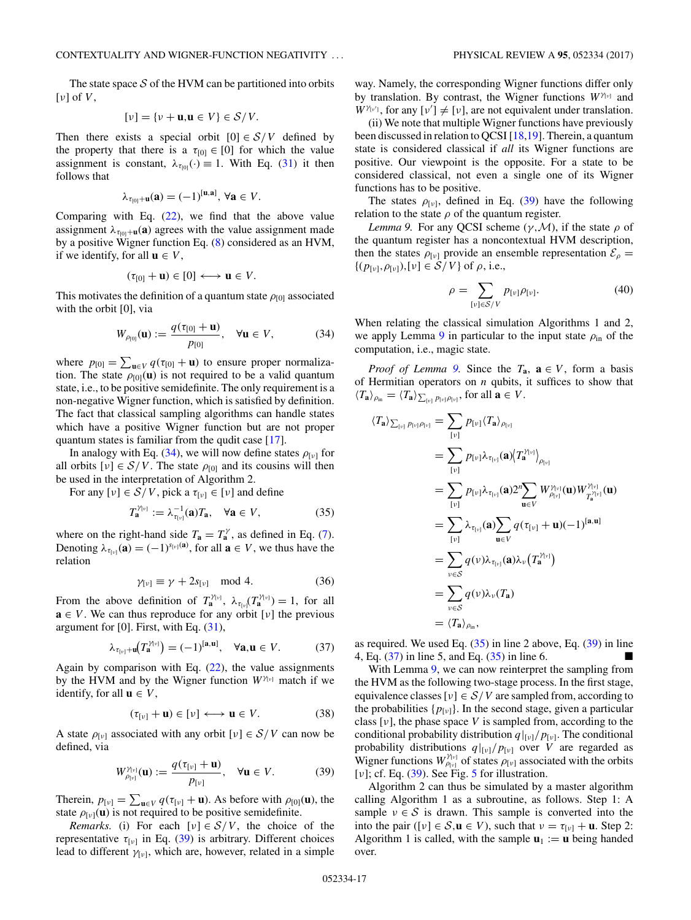<span id="page-16-0"></span>The state space  $S$  of the HVM can be partitioned into orbits [*ν*] of *V* ,

$$
[\nu] = {\nu + \mathbf{u}, \mathbf{u} \in V} \in S/V.
$$

Then there exists a special orbit  $[0] \in S/V$  defined by the property that there is a  $\tau_{[0]} \in [0]$  for which the value assignment is constant,  $\lambda_{\tau_{00}}(\cdot) \equiv 1$ . With Eq. [\(31\)](#page-12-0) it then follows that

$$
\lambda_{\tau_{[0]}+\mathbf{u}}(\mathbf{a})=(-1)^{[\mathbf{u},\mathbf{a}]},\,\forall \mathbf{a}\in V.
$$

Comparing with Eq.  $(22)$ , we find that the above value assignment  $\lambda_{\tau_{[0]}+\mathbf{u}}(\mathbf{a})$  agrees with the value assignment made by a positive Wigner function Eq. [\(8\)](#page-5-0) considered as an HVM, if we identify, for all  $\mathbf{u} \in V$ ,

$$
(\tau_{[0]} + \mathbf{u}) \in [0] \longleftrightarrow \mathbf{u} \in V.
$$

This motivates the definition of a quantum state  $\rho_{[0]}$  associated with the orbit [0], via

$$
W_{\rho_{[0]}}(\mathbf{u}) := \frac{q(\tau_{[0]} + \mathbf{u})}{p_{[0]}}, \quad \forall \mathbf{u} \in V,
$$
 (34)

where  $p_{[0]} = \sum_{\mathbf{u} \in V} q(\tau_{[0]} + \mathbf{u})$  to ensure proper normalization. The state  $\rho_{[0]}(\mathbf{u})$  is not required to be a valid quantum state, i.e., to be positive semidefinite. The only requirement is a non-negative Wigner function, which is satisfied by definition. The fact that classical sampling algorithms can handle states which have a positive Wigner function but are not proper quantum states is familiar from the qudit case [\[17\]](#page-21-0).

In analogy with Eq. (34), we will now define states  $\rho_{\lbrack v \rbrack}$  for all orbits  $[v] \in S/V$ . The state  $\rho_{[0]}$  and its cousins will then be used in the interpretation of Algorithm 2.

For any  $[\nu] \in S/V$ , pick a  $\tau_{[\nu]} \in [\nu]$  and define

$$
T_{\mathbf{a}}^{\gamma_{[v]}} := \lambda_{\tau_{[v]}}^{-1}(\mathbf{a}) T_{\mathbf{a}}, \quad \forall \mathbf{a} \in V,
$$
 (35)

where on the right-hand side  $T_a = T_a^{\gamma}$ , as defined in Eq. [\(7\)](#page-5-0). Denoting  $\lambda_{\tau_{[v]}}(\mathbf{a}) = (-1)^{s_{[v]}(\mathbf{a})}$ , for all  $\mathbf{a} \in V$ , we thus have the relation

$$
\gamma_{\nu\mathbf{I}} \equiv \gamma + 2s_{\nu\mathbf{I}} \mod 4. \tag{36}
$$

From the above definition of  $T_a^{\gamma_{[v]}}$ ,  $\lambda_{\tau_{[v]}}(T_a^{\gamma_{[v]}}) = 1$ , for all  $\mathbf{a} \in V$ . We can thus reproduce for any orbit [*v*] the previous argument for [0]. First, with Eq. [\(31\)](#page-12-0),

$$
\lambda_{\tau_{[v]} + \mathbf{u}} \left( T_{\mathbf{a}}^{\gamma_{[v]}} \right) = (-1)^{[\mathbf{a}, \mathbf{u}]}, \quad \forall \mathbf{a}, \mathbf{u} \in V. \tag{37}
$$

Again by comparison with Eq.  $(22)$ , the value assignments by the HVM and by the Wigner function *W<sup>γ</sup>*[*ν*] match if we identify, for all  $\mathbf{u} \in V$ ,

$$
(\tau_{[v]} + \mathbf{u}) \in [v] \longleftrightarrow \mathbf{u} \in V. \tag{38}
$$

A state  $\rho_{[v]}$  associated with any orbit  $[v] \in S/V$  can now be defined, via

$$
W_{\rho_{[v]}}^{\gamma_{[v]}}(\mathbf{u}) := \frac{q(\tau_{[v]} + \mathbf{u})}{p_{[v]}}, \quad \forall \mathbf{u} \in V.
$$
 (39)

Therein,  $p_{\lbrack v \rbrack} = \sum_{\mathbf{u} \in V} q(\tau_{\lbrack v \rbrack} + \mathbf{u})$ . As before with  $\rho_{[0]}(\mathbf{u})$ , the state  $\rho_{[v]}(\mathbf{u})$  is not required to be positive semidefinite.

*Remarks.* (i) For each  $[v] \in S/V$ , the choice of the representative  $τ_{[ν]}$  in Eq. (39) is arbitrary. Different choices lead to different  $\gamma_{[\nu]}$ , which are, however, related in a simple way. Namely, the corresponding Wigner functions differ only by translation. By contrast, the Wigner functions *W<sup>γ</sup>*[*ν*] and

 $W^{\gamma_{\nu'}}$ , for any  $[\nu'] \neq [\nu]$ , are not equivalent under translation. (ii) We note that multiple Wigner functions have previously been discussed in relation to QCSI [\[18,19\]](#page-21-0). Therein, a quantum state is considered classical if *all* its Wigner functions are positive. Our viewpoint is the opposite. For a state to be considered classical, not even a single one of its Wigner

functions has to be positive. The states  $\rho_{[\nu]}$ , defined in Eq. (39) have the following relation to the state  $\rho$  of the quantum register.

*Lemma 9.* For any QCSI scheme  $(\gamma, \mathcal{M})$ , if the state  $\rho$  of the quantum register has a noncontextual HVM description, then the states  $\rho_{[\nu]}$  provide an ensemble representation  $\mathcal{E}_{\rho} =$  $\{(p_{[\nu]}, \rho_{[\nu]}), [\nu] \in S/V\}$  of  $\rho$ , i.e.,

$$
\rho = \sum_{\left[\nu\right] \in \mathcal{S}/V} p_{\left[\nu\right]} \rho_{\left[\nu\right]}.\tag{40}
$$

When relating the classical simulation Algorithms 1 and 2, we apply Lemma 9 in particular to the input state  $\rho_{\text{in}}$  of the computation, i.e., magic state.

*Proof of Lemma* 9. Since the  $T_a$ ,  $a \in V$ , form a basis of Hermitian operators on *n* qubits, it suffices to show that  $\langle T_{\mathbf{a}} \rangle_{\rho_{\text{in}}} = \langle T_{\mathbf{a}} \rangle_{\sum_{\{\nu\}} p_{\{\nu\}} \rho_{\{\nu\}}}, \text{ for all } \mathbf{a} \in V.$ 

$$
\langle T_{\mathbf{a}} \rangle_{\sum_{[v]} p_{[v]} \rho_{[v]}} = \sum_{[v]} p_{[v]} \langle T_{\mathbf{a}} \rangle_{\rho_{[v]}}
$$
  
\n
$$
= \sum_{[v]} p_{[v]} \lambda_{\tau_{[v]}}(\mathbf{a}) \langle T_{\mathbf{a}}^{\gamma_{[v]}} \rangle_{\rho_{[v]}}
$$
  
\n
$$
= \sum_{[v]} p_{[v]} \lambda_{\tau_{[v]}}(\mathbf{a}) 2^{n} \sum_{\mathbf{u} \in V} W_{\rho_{[v]}}^{\gamma_{[v]}}(\mathbf{u}) W_{T_{\mathbf{a}}^{\gamma_{[v]}}}^{\gamma_{[v]}}(\mathbf{u})
$$
  
\n
$$
= \sum_{[v]} \lambda_{\tau_{[v]}}(\mathbf{a}) \sum_{\mathbf{u} \in V} q(\tau_{[v]} + \mathbf{u})(-1)^{[\mathbf{a}, \mathbf{u}]}
$$
  
\n
$$
= \sum_{v \in S} q(v) \lambda_{\tau_{[v]}}(\mathbf{a}) \lambda_{v} (T_{\mathbf{a}}^{\gamma_{[v]}})
$$
  
\n
$$
= \sum_{v \in S} q(v) \lambda_{v} (T_{\mathbf{a}})
$$
  
\n
$$
= \langle T_{\mathbf{a}} \rangle_{\rho_{\text{in}}},
$$

as required. We used Eq.  $(35)$  in line 2 above, Eq.  $(39)$  in line 4, Eq. (37) in line 5, and Eq. (35) in line 6.

With Lemma 9, we can now reinterpret the sampling from the HVM as the following two-stage process. In the first stage, equivalence classes  $[\nu] \in S/V$  are sampled from, according to the probabilities  $\{p_{\lceil v \rceil}\}\$ . In the second stage, given a particular class [*ν*], the phase space *V* is sampled from, according to the conditional probability distribution  $q|_{\nu}$ *[ν*]. The conditional probability distributions  $q|_{[v]}/p_{[v]}$  over *V* are regarded as Wigner functions  $W_{\rho_{[v]}}^{\gamma_{[v]}}$  of states  $\rho_{[v]}$  associated with the orbits [*ν*]; cf. Eq. (39). See Fig. [5](#page-15-0) for illustration.

Algorithm 2 can thus be simulated by a master algorithm calling Algorithm 1 as a subroutine, as follows. Step 1: A sample  $v \in S$  is drawn. This sample is converted into the into the pair ([*v*]  $\in \mathcal{S}, \mathbf{u} \in V$ ), such that  $v = \tau_{[v]} + \mathbf{u}$ . Step 2: Algorithm 1 is called, with the sample  $\mathbf{u}_1 := \mathbf{u}$  being handed over.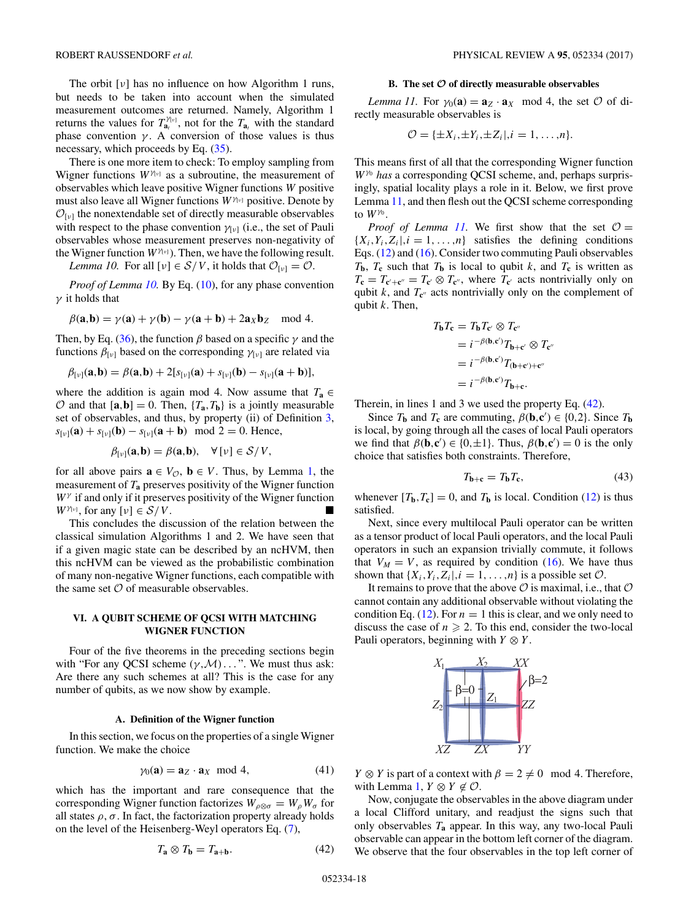<span id="page-17-0"></span>The orbit [*ν*] has no influence on how Algorithm 1 runs, but needs to be taken into account when the simulated measurement outcomes are returned. Namely, Algorithm 1 returns the values for  $T_{a_t}^{\gamma_{[v]}}$ , not for the  $T_{a_t}$  with the standard phase convention  $\gamma$ . A conversion of those values is thus necessary, which proceeds by Eq. [\(35\)](#page-16-0).

There is one more item to check: To employ sampling from Wigner functions  $W^{\gamma_{[v]}}$  as a subroutine, the measurement of observables which leave positive Wigner functions *W* positive must also leave all Wigner functions  $W^{\gamma_{[v]}}$  positive. Denote by  $\mathcal{O}_{[\nu]}$  the nonextendable set of directly measurable observables with respect to the phase convention *γ*[*ν*] (i.e., the set of Pauli observables whose measurement preserves non-negativity of the Wigner function  $W^{\gamma_{[v]}}$ ). Then, we have the following result.

*Lemma 10.* For all  $[v] \in S/V$ , it holds that  $\mathcal{O}_{[v]} = \mathcal{O}$ .

*Proof of Lemma 10.* By Eq. [\(10\)](#page-5-0), for any phase convention *γ* it holds that

$$
\beta(\mathbf{a},\mathbf{b}) = \gamma(\mathbf{a}) + \gamma(\mathbf{b}) - \gamma(\mathbf{a} + \mathbf{b}) + 2\mathbf{a}_X \mathbf{b}_Z \mod 4.
$$

Then, by Eq. [\(36\)](#page-16-0), the function *β* based on a specific *γ* and the functions  $\beta_{\lbrack v \rbrack}$  based on the corresponding  $\gamma_{\lbrack v \rbrack}$  are related via

$$
\beta_{\lbrack\nu\rbrack}(\mathbf{a},\mathbf{b})=\beta(\mathbf{a},\mathbf{b})+2[s_{\lbrack\nu\rbrack}(\mathbf{a})+s_{\lbrack\nu\rbrack}(\mathbf{b})-s_{\lbrack\nu\rbrack}(\mathbf{a}+\mathbf{b})],
$$

where the addition is again mod 4. Now assume that  $T_a \in$  $\mathcal{O}$  and that  $[\mathbf{a}, \mathbf{b}] = 0$ . Then,  $\{T_{\mathbf{a}}, T_{\mathbf{b}}\}$  is a jointly measurable set of observables, and thus, by property (ii) of Definition [3,](#page-10-0)  $s_{\lceil v \rceil}(\mathbf{a}) + s_{\lceil v \rceil}(\mathbf{b}) - s_{\lceil v \rceil}(\mathbf{a} + \mathbf{b}) \mod 2 = 0$ . Hence,

$$
\beta_{[\nu]}(\mathbf{a},\mathbf{b})=\beta(\mathbf{a},\mathbf{b}),\quad\forall [\nu]\in\mathcal{S}/V,
$$

for all above pairs  $\mathbf{a} \in V_{\mathcal{O}}$ ,  $\mathbf{b} \in V$ . Thus, by Lemma [1,](#page-5-0) the measurement of *T***<sup>a</sup>** preserves positivity of the Wigner function *W<sup>γ</sup>* if and only if it preserves positivity of the Wigner function *W*<sup> $\gamma$ <sub>[*ν*]</sub>, for any  $[\nu] \in S/V$ .</sup>

This concludes the discussion of the relation between the classical simulation Algorithms 1 and 2. We have seen that if a given magic state can be described by an ncHVM, then this ncHVM can be viewed as the probabilistic combination of many non-negative Wigner functions, each compatible with the same set  $\mathcal O$  of measurable observables.

# **VI. A QUBIT SCHEME OF QCSI WITH MATCHING WIGNER FUNCTION**

Four of the five theorems in the preceding sections begin with "For any QCSI scheme (*γ,*M) *...* ". We must thus ask: Are there any such schemes at all? This is the case for any number of qubits, as we now show by example.

### **A. Definition of the Wigner function**

In this section, we focus on the properties of a single Wigner function. We make the choice

$$
\gamma_0(\mathbf{a}) = \mathbf{a}_Z \cdot \mathbf{a}_X \mod 4,\tag{41}
$$

which has the important and rare consequence that the corresponding Wigner function factorizes  $W_{\rho \otimes \sigma} = W_{\rho} W_{\sigma}$  for all states  $\rho$ ,  $\sigma$ . In fact, the factorization property already holds on the level of the Heisenberg-Weyl operators Eq. [\(7\)](#page-5-0),

$$
T_{\mathbf{a}} \otimes T_{\mathbf{b}} = T_{\mathbf{a} + \mathbf{b}}.\tag{42}
$$

## **B. The set** *O* **of directly measurable observables**

*Lemma 11.* For  $\gamma_0(\mathbf{a}) = \mathbf{a}_z \cdot \mathbf{a}_x \mod 4$ , the set  $\mathcal{O}$  of directly measurable observables is

$$
\mathcal{O} = {\pm X_i, \pm Y_i, \pm Z_i |, i = 1, \ldots, n}.
$$

This means first of all that the corresponding Wigner function *W<sup>γ</sup>*<sup>0</sup> *has* a corresponding QCSI scheme, and, perhaps surprisingly, spatial locality plays a role in it. Below, we first prove Lemma 11, and then flesh out the QCSI scheme corresponding to *W<sup>γ</sup>*<sup>0</sup> .

*Proof of Lemma 11.* We first show that the set  $\mathcal{O} =$  ${X_i, Y_i, Z_i |, i = 1, \ldots, n}$  satisfies the defining conditions Eqs. [\(12\)](#page-5-0) and [\(16\)](#page-6-0). Consider two commuting Pauli observables  $T_{\bf{b}}$ ,  $T_{\bf{c}}$  such that  $T_{\bf{b}}$  is local to qubit *k*, and  $T_{\bf{c}}$  is written as  $T_c = T_{c'+c''} = T_{c'} \otimes T_{c''}$ , where  $T_{c'}$  acts nontrivially only on qubit  $k$ , and  $T_{\mathbf{c}'}$  acts nontrivially only on the complement of qubit *k*. Then,

$$
T_{\mathbf{b}}T_{\mathbf{c}} = T_{\mathbf{b}}T_{\mathbf{c}'} \otimes T_{\mathbf{c}''}
$$
  
=  $i^{-\beta(\mathbf{b}, \mathbf{c}')}T_{\mathbf{b}+\mathbf{c}'} \otimes T_{\mathbf{c}''}$   
=  $i^{-\beta(\mathbf{b}, \mathbf{c}')}T_{(\mathbf{b}+\mathbf{c}')+\mathbf{c}''}$   
=  $i^{-\beta(\mathbf{b}, \mathbf{c}')}T_{\mathbf{b}+\mathbf{c}}.$ 

Therein, in lines 1 and 3 we used the property Eq. (42).

Since  $T_b$  and  $T_c$  are commuting,  $\beta(\mathbf{b}, \mathbf{c}') \in \{0, 2\}$ . Since  $T_b$ is local, by going through all the cases of local Pauli operators we find that  $\beta(\mathbf{b}, \mathbf{c}') \in \{0, \pm 1\}$ . Thus,  $\beta(\mathbf{b}, \mathbf{c}') = 0$  is the only choice that satisfies both constraints. Therefore,

$$
T_{\mathbf{b}+\mathbf{c}} = T_{\mathbf{b}} T_{\mathbf{c}},\tag{43}
$$

whenever  $[T_b, T_c] = 0$ , and  $T_b$  is local. Condition [\(12\)](#page-5-0) is thus satisfied.

Next, since every multilocal Pauli operator can be written as a tensor product of local Pauli operators, and the local Pauli operators in such an expansion trivially commute, it follows that  $V_M = V$ , as required by condition [\(16\)](#page-6-0). We have thus shown that  $\{X_i, Y_i, Z_i |, i = 1, \ldots, n\}$  is a possible set  $\mathcal{O}$ .

It remains to prove that the above  $\mathcal O$  is maximal, i.e., that  $\mathcal O$ cannot contain any additional observable without violating the condition Eq. [\(12\)](#page-5-0). For  $n = 1$  this is clear, and we only need to discuss the case of  $n \ge 2$ . To this end, consider the two-local Pauli operators, beginning with  $Y \otimes Y$ .



*Y*  $\otimes$  *Y* is part of a context with  $\beta = 2 \neq 0 \mod 4$ . Therefore, with Lemma [1,](#page-5-0)  $Y \otimes Y \notin \mathcal{O}$ .

Now, conjugate the observables in the above diagram under a local Clifford unitary, and readjust the signs such that only observables *T***<sup>a</sup>** appear. In this way, any two-local Pauli observable can appear in the bottom left corner of the diagram. We observe that the four observables in the top left corner of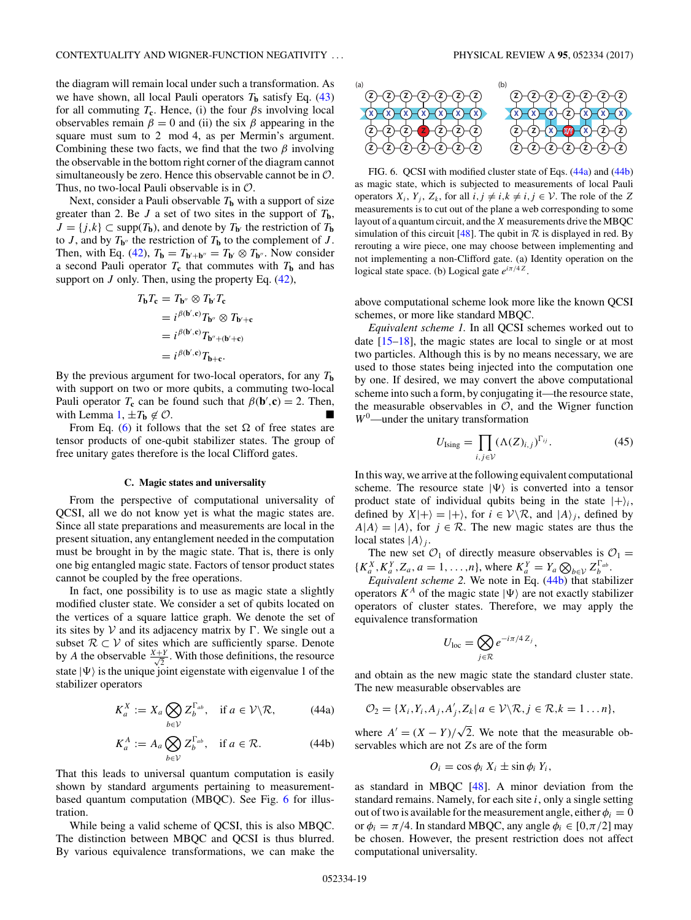the diagram will remain local under such a transformation. As we have shown, all local Pauli operators  $T_b$  satisfy Eq. [\(43\)](#page-17-0) for all commuting  $T_c$ . Hence, (i) the four  $\beta s$  involving local observables remain  $\beta = 0$  and (ii) the six  $\beta$  appearing in the square must sum to 2 mod 4, as per Mermin's argument. Combining these two facts, we find that the two *β* involving the observable in the bottom right corner of the diagram cannot simultaneously be zero. Hence this observable cannot be in  $\mathcal{O}$ . Thus, no two-local Pauli observable is in  $\mathcal{O}$ .

Next, consider a Pauli observable  $T<sub>b</sub>$  with a support of size greater than 2. Be *J* a set of two sites in the support of *T***b**,  $J = \{j, k\} \subset \text{supp}(T_{\mathbf{b}})$ , and denote by  $T_{\mathbf{b}}$  the restriction of  $T_{\mathbf{b}}$ to *J*, and by  $T_{\mathbf{b}''}$  the restriction of  $T_{\mathbf{b}}$  to the complement of *J*. Then, with Eq. [\(42\)](#page-17-0),  $T_{\mathbf{b}} = T_{\mathbf{b}' + \mathbf{b}''} = T_{\mathbf{b}'} \otimes T_{\mathbf{b}''}$ . Now consider a second Pauli operator  $T_c$  that commutes with  $T_b$  and has support on *J* only. Then, using the property Eq. [\(42\)](#page-17-0),

$$
T_{\mathbf{b}}T_{\mathbf{c}} = T_{\mathbf{b}''} \otimes T_{\mathbf{b}'}T_{\mathbf{c}}
$$
  
=  $i^{\beta(\mathbf{b}', \mathbf{c})}T_{\mathbf{b}''} \otimes T_{\mathbf{b}'+\mathbf{c}}$   
=  $i^{\beta(\mathbf{b}', \mathbf{c})}T_{\mathbf{b}''+(\mathbf{b}'+\mathbf{c})}$   
=  $i^{\beta(\mathbf{b}', \mathbf{c})}T_{\mathbf{b}+\mathbf{c}}.$ 

By the previous argument for two-local operators, for any  $T<sub>b</sub>$ with support on two or more qubits, a commuting two-local Pauli operator  $T_c$  can be found such that  $\beta(\mathbf{b}', \mathbf{c}) = 2$ . Then, with Lemma [1,](#page-5-0)  $\pm T_b \notin \mathcal{O}$ .

From Eq. [\(6\)](#page-4-0) it follows that the set  $\Omega$  of free states are tensor products of one-qubit stabilizer states. The group of free unitary gates therefore is the local Clifford gates.

### **C. Magic states and universality**

From the perspective of computational universality of QCSI, all we do not know yet is what the magic states are. Since all state preparations and measurements are local in the present situation, any entanglement needed in the computation must be brought in by the magic state. That is, there is only one big entangled magic state. Factors of tensor product states cannot be coupled by the free operations.

In fact, one possibility is to use as magic state a slightly modified cluster state. We consider a set of qubits located on the vertices of a square lattice graph. We denote the set of its sites by  $V$  and its adjacency matrix by  $\Gamma$ . We single out a subset  $\mathcal{R} \subset \mathcal{V}$  of sites which are sufficiently sparse. Denote by *A* the observable  $\frac{X+Y}{\sqrt{2}}$ . With those definitions, the resource state  $|\Psi\rangle$  is the unique joint eigenstate with eigenvalue 1 of the stabilizer operators

$$
K_a^X := X_a \bigotimes_{b \in \mathcal{V}} Z_b^{\Gamma_{ab}}, \quad \text{if } a \in \mathcal{V} \backslash \mathcal{R}, \tag{44a}
$$

$$
K_a^A := A_a \bigotimes_{b \in V} Z_b^{\Gamma_{ab}}, \quad \text{if } a \in \mathcal{R}.\tag{44b}
$$

That this leads to universal quantum computation is easily shown by standard arguments pertaining to measurementbased quantum computation (MBQC). See Fig. 6 for illustration.

While being a valid scheme of QCSI, this is also MBQC. The distinction between MBQC and QCSI is thus blurred. By various equivalence transformations, we can make the



FIG. 6. QCSI with modified cluster state of Eqs. (44a) and (44b) as magic state, which is subjected to measurements of local Pauli operators  $X_i$ ,  $Y_j$ ,  $Z_k$ , for all  $i, j \neq i, k \neq i, j \in \mathcal{V}$ . The role of the *Z* measurements is to cut out of the plane a web corresponding to some layout of a quantum circuit, and the *X* measurements drive the MBQC simulation of this circuit [\[48\]](#page-21-0). The qubit in  $R$  is displayed in red. By rerouting a wire piece, one may choose between implementing and not implementing a non-Clifford gate. (a) Identity operation on the logical state space. (b) Logical gate *eiπ/*4*<sup>Z</sup>*.

above computational scheme look more like the known QCSI schemes, or more like standard MBQC.

*Equivalent scheme 1.* In all QCSI schemes worked out to date [\[15–18\]](#page-21-0), the magic states are local to single or at most two particles. Although this is by no means necessary, we are used to those states being injected into the computation one by one. If desired, we may convert the above computational scheme into such a form, by conjugating it—the resource state, the measurable observables in  $O$ , and the Wigner function *W*0—under the unitary transformation

$$
U_{\text{Ising}} = \prod_{i,j \in \mathcal{V}} (\Lambda(Z)_{i,j})^{\Gamma_{ij}}.
$$
 (45)

In this way, we arrive at the following equivalent computational scheme. The resource state  $|\Psi\rangle$  is converted into a tensor product state of individual qubits being in the state  $|+\rangle_i$ , defined by  $X|+\rangle = |+\rangle$ , for  $i \in V \setminus \mathcal{R}$ , and  $|A\rangle_j$ , defined by  $A|A\rangle = |A\rangle$ , for  $j \in \mathcal{R}$ . The new magic states are thus the local states  $|A\rangle_j$ .

The new set  $\mathcal{O}_1$  of directly measure observables is  $\mathcal{O}_1 =$  $\{K_{a}^{X}, K_{a}^{Y}, Z_{a}, a = 1, \ldots, n\}, \text{where } K_{a}^{Y} = Y_{a} \bigotimes_{b \in V} Z_{b}^{\Gamma_{ab}}.$ 

*Equivalent scheme 2.* We note in Eq. (44b) that stabilizer operators  $K^A$  of the magic state  $|\Psi\rangle$  are not exactly stabilizer operators of cluster states. Therefore, we may apply the equivalence transformation

$$
U_{\rm loc} = \bigotimes_{j \in \mathcal{R}} e^{-i\pi/4 Z_j},
$$

and obtain as the new magic state the standard cluster state. The new measurable observables are

$$
\mathcal{O}_2 = \{X_i, Y_i, A_j, A'_j, Z_k | a \in \mathcal{V} \backslash \mathcal{R}, j \in \mathcal{R}, k = 1 \ldots n\},\
$$

where  $A' = (X - Y)/\sqrt{2}$ . We note that the measurable observables which are not *Z*s are of the form

$$
O_i = \cos \phi_i X_i \pm \sin \phi_i Y_i,
$$

as standard in MBQC [\[48\]](#page-21-0). A minor deviation from the standard remains. Namely, for each site *i*, only a single setting out of two is available for the measurement angle, either  $\phi_i = 0$ or  $\phi_i = \pi/4$ . In standard MBQC, any angle  $\phi_i \in [0, \pi/2]$  may be chosen. However, the present restriction does not affect computational universality.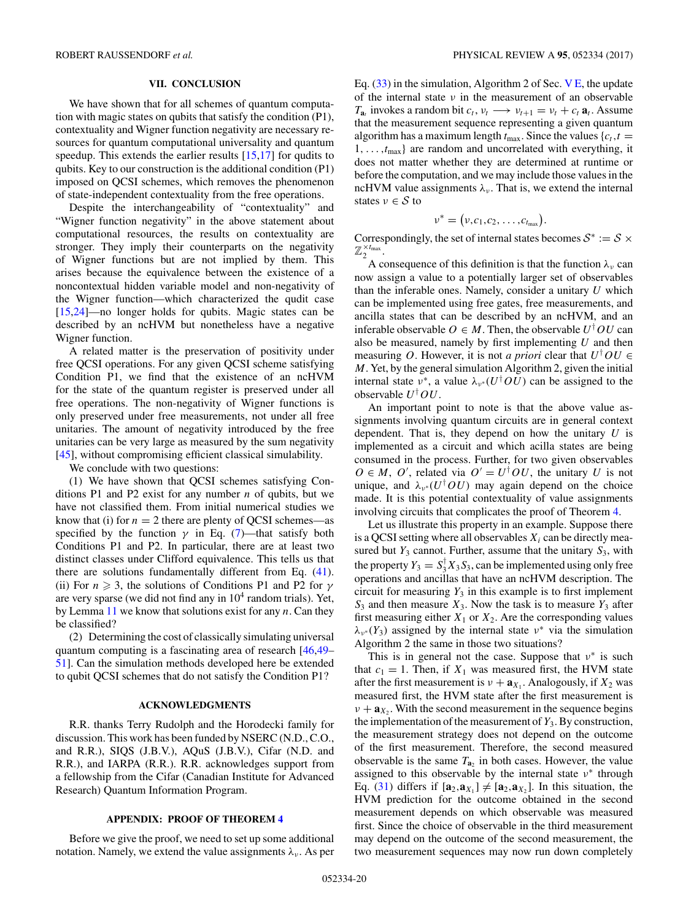## **VII. CONCLUSION**

<span id="page-19-0"></span>We have shown that for all schemes of quantum computation with magic states on qubits that satisfy the condition (P1), contextuality and Wigner function negativity are necessary resources for quantum computational universality and quantum speedup. This extends the earlier results  $[15,17]$  for qudits to qubits. Key to our construction is the additional condition (P1) imposed on QCSI schemes, which removes the phenomenon of state-independent contextuality from the free operations.

Despite the interchangeability of "contextuality" and "Wigner function negativity" in the above statement about computational resources, the results on contextuality are stronger. They imply their counterparts on the negativity of Wigner functions but are not implied by them. This arises because the equivalence between the existence of a noncontextual hidden variable model and non-negativity of the Wigner function—which characterized the qudit case [\[15,24\]](#page-21-0)—no longer holds for qubits. Magic states can be described by an ncHVM but nonetheless have a negative Wigner function.

A related matter is the preservation of positivity under free QCSI operations. For any given QCSI scheme satisfying Condition P1, we find that the existence of an ncHVM for the state of the quantum register is preserved under all free operations. The non-negativity of Wigner functions is only preserved under free measurements, not under all free unitaries. The amount of negativity introduced by the free unitaries can be very large as measured by the sum negativity [\[45\]](#page-21-0), without compromising efficient classical simulability.

We conclude with two questions:

(1) We have shown that QCSI schemes satisfying Conditions P1 and P2 exist for any number *n* of qubits, but we have not classified them. From initial numerical studies we know that (i) for  $n = 2$  there are plenty of QCSI schemes—as specified by the function  $\gamma$  in Eq. [\(7\)](#page-5-0)—that satisfy both Conditions P1 and P2. In particular, there are at least two distinct classes under Clifford equivalence. This tells us that there are solutions fundamentally different from Eq. [\(41\)](#page-17-0). (ii) For  $n \geq 3$ , the solutions of Conditions P1 and P2 for *γ* are very sparse (we did not find any in  $10<sup>4</sup>$  random trials). Yet, by Lemma [11](#page-17-0) we know that solutions exist for any *n*. Can they be classified?

(2) Determining the cost of classically simulating universal quantum computing is a fascinating area of research [\[46,49–](#page-21-0) [51\]](#page-21-0). Can the simulation methods developed here be extended to qubit QCSI schemes that do not satisfy the Condition P1?

## **ACKNOWLEDGMENTS**

R.R. thanks Terry Rudolph and the Horodecki family for discussion. This work has been funded by NSERC (N.D., C.O., and R.R.), SIQS (J.B.V.), AQuS (J.B.V.), Cifar (N.D. and R.R.), and IARPA (R.R.). R.R. acknowledges support from a fellowship from the Cifar (Canadian Institute for Advanced Research) Quantum Information Program.

## **APPENDIX: PROOF OF THEOREM [4](#page-14-0)**

Before we give the proof, we need to set up some additional notation. Namely, we extend the value assignments  $\lambda_{\nu}$ . As per Eq.  $(33)$  in the simulation, Algorithm 2 of Sec. [V E,](#page-14-0) the update of the internal state *ν* in the measurement of an observable *T*<sub>**a**<sup>t</sup> invokes a random bit  $c_t$ ,  $v_t \rightarrow v_{t+1} = v_t + c_t \mathbf{a}_t$ . Assume</sub> that the measurement sequence representing a given quantum algorithm has a maximum length  $t_{\text{max}}$ . Since the values  ${c_t, t =$ 1*, . . . ,t*max} are random and uncorrelated with everything, it does not matter whether they are determined at runtime or before the computation, and we may include those values in the ncHVM value assignments  $\lambda_{\nu}$ . That is, we extend the internal states  $v \in S$  to

$$
\nu^* = (\nu, c_1, c_2, \ldots, c_{t_{\max}}).
$$

Correspondingly, the set of internal states becomes  $S^* := S \times$  $\mathbb{Z}_2^{\times t_{\max}}$ .

A consequence of this definition is that the function  $\lambda_{\nu}$  can now assign a value to a potentially larger set of observables than the inferable ones. Namely, consider a unitary *U* which can be implemented using free gates, free measurements, and ancilla states that can be described by an ncHVM, and an inferable observable  $O \in M$ . Then, the observable  $U^{\dagger}OU$  can also be measured, namely by first implementing *U* and then measuring *O*. However, it is not *a priori* clear that  $U^{\dagger}OU \in$ *M*. Yet, by the general simulation Algorithm 2, given the initial internal state  $v^*$ , a value  $\lambda_{v^*}(U^{\dagger}OU)$  can be assigned to the observable *U*† *OU*.

An important point to note is that the above value assignments involving quantum circuits are in general context dependent. That is, they depend on how the unitary *U* is implemented as a circuit and which acilla states are being consumed in the process. Further, for two given observables  $O \in M$ , *O'*, related via  $O' = U^{\dagger}OU$ , the unitary *U* is not unique, and  $\lambda_{\nu^*}(U^{\dagger}OU)$  may again depend on the choice made. It is this potential contextuality of value assignments involving circuits that complicates the proof of Theorem [4.](#page-14-0)

Let us illustrate this property in an example. Suppose there is a QCSI setting where all observables  $X_i$  can be directly measured but  $Y_3$  cannot. Further, assume that the unitary  $S_3$ , with the property  $Y_3 = S_3^{\dagger} X_3 S_3$ , can be implemented using only free operations and ancillas that have an ncHVM description. The circuit for measuring  $Y_3$  in this example is to first implement  $S_3$  and then measure  $X_3$ . Now the task is to measure  $Y_3$  after first measuring either  $X_1$  or  $X_2$ . Are the corresponding values  $\lambda_{\nu}$ <sup>\*</sup> (*Y*<sub>3</sub>) assigned by the internal state  $\nu$ <sup>\*</sup> via the simulation Algorithm 2 the same in those two situations?

This is in general not the case. Suppose that *ν*<sup>∗</sup> is such that  $c_1 = 1$ . Then, if  $X_1$  was measured first, the HVM state after the first measurement is  $v + a_{X_1}$ . Analogously, if  $X_2$  was measured first, the HVM state after the first measurement is  $\nu + \mathbf{a}_X$ . With the second measurement in the sequence begins the implementation of the measurement of *Y*3. By construction, the measurement strategy does not depend on the outcome of the first measurement. Therefore, the second measured observable is the same  $T_{a_2}$  in both cases. However, the value assigned to this observable by the internal state *ν*<sup>∗</sup> through Eq. [\(31\)](#page-12-0) differs if  $[\mathbf{a}_2, \mathbf{a}_{X_1}] \neq [\mathbf{a}_2, \mathbf{a}_{X_2}]$ . In this situation, the HVM prediction for the outcome obtained in the second measurement depends on which observable was measured first. Since the choice of observable in the third measurement may depend on the outcome of the second measurement, the two measurement sequences may now run down completely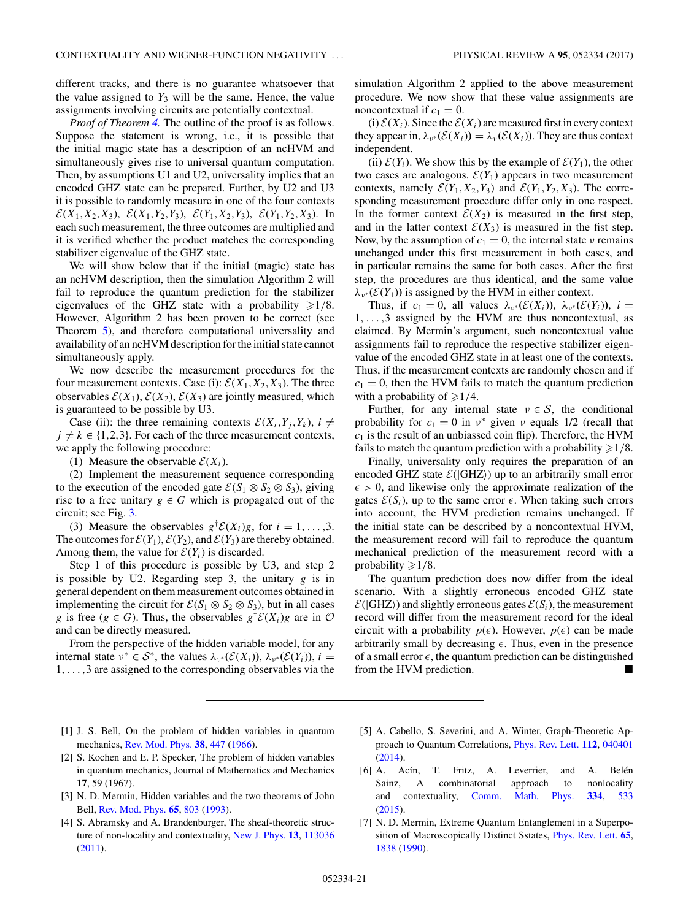<span id="page-20-0"></span>different tracks, and there is no guarantee whatsoever that the value assigned to  $Y_3$  will be the same. Hence, the value assignments involving circuits are potentially contextual.

*Proof of Theorem [4.](#page-14-0)* The outline of the proof is as follows. Suppose the statement is wrong, i.e., it is possible that the initial magic state has a description of an ncHVM and simultaneously gives rise to universal quantum computation. Then, by assumptions U1 and U2, universality implies that an encoded GHZ state can be prepared. Further, by U2 and U3 it is possible to randomly measure in one of the four contexts  $\mathcal{E}(X_1, X_2, X_3)$ ,  $\mathcal{E}(X_1, Y_2, Y_3)$ ,  $\mathcal{E}(Y_1, X_2, Y_3)$ ,  $\mathcal{E}(Y_1, Y_2, X_3)$ . In each such measurement, the three outcomes are multiplied and it is verified whether the product matches the corresponding stabilizer eigenvalue of the GHZ state.

We will show below that if the initial (magic) state has an ncHVM description, then the simulation Algorithm 2 will fail to reproduce the quantum prediction for the stabilizer eigenvalues of the GHZ state with a probability  $\geq 1/8$ . However, Algorithm 2 has been proven to be correct (see Theorem [5\)](#page-14-0), and therefore computational universality and availability of an ncHVM description for the initial state cannot simultaneously apply.

We now describe the measurement procedures for the four measurement contexts. Case (i):  $\mathcal{E}(X_1, X_2, X_3)$ . The three observables  $\mathcal{E}(X_1)$ ,  $\mathcal{E}(X_2)$ ,  $\mathcal{E}(X_3)$  are jointly measured, which is guaranteed to be possible by U3.

Case (ii): the three remaining contexts  $\mathcal{E}(X_i, Y_i, Y_k)$ ,  $i \neq$  $j \neq k \in \{1,2,3\}$ . For each of the three measurement contexts, we apply the following procedure:

(1) Measure the observable  $\mathcal{E}(X_i)$ .

(2) Implement the measurement sequence corresponding to the execution of the encoded gate  $\mathcal{E}(S_1 \otimes S_2 \otimes S_3)$ , giving rise to a free unitary  $g \in G$  which is propagated out of the circuit; see Fig. [3.](#page-8-0)

(3) Measure the observables  $g^{\dagger} \mathcal{E}(X_i)g$ , for  $i = 1, ..., 3$ . The outcomes for  $\mathcal{E}(Y_1)$ ,  $\mathcal{E}(Y_2)$ , and  $\mathcal{E}(Y_3)$  are thereby obtained. Among them, the value for  $\mathcal{E}(Y_i)$  is discarded.

Step 1 of this procedure is possible by U3, and step 2 is possible by U2. Regarding step 3, the unitary *g* is in general dependent on them measurement outcomes obtained in implementing the circuit for  $\mathcal{E}(S_1 \otimes S_2 \otimes S_3)$ , but in all cases *g* is free (*g*  $\in$  *G*). Thus, the observables  $g^{\dagger}$  $\mathcal{E}(X_i)g$  are in  $\mathcal{O}$ and can be directly measured.

From the perspective of the hidden variable model, for any internal state  $v^* \in S^*$ , the values  $\lambda_{v^*}(\mathcal{E}(X_i))$ ,  $\lambda_{v^*}(\mathcal{E}(Y_i))$ ,  $i =$ 1*,...,*3 are assigned to the corresponding observables via the simulation Algorithm 2 applied to the above measurement procedure. We now show that these value assignments are noncontextual if  $c_1 = 0$ .

(i)  $\mathcal{E}(X_i)$ . Since the  $\mathcal{E}(X_i)$  are measured first in every context they appear in,  $\lambda_{\nu^*}(\mathcal{E}(X_i)) = \lambda_{\nu}(\mathcal{E}(X_i))$ . They are thus context independent.

(ii)  $\mathcal{E}(Y_i)$ . We show this by the example of  $\mathcal{E}(Y_1)$ , the other two cases are analogous.  $\mathcal{E}(Y_1)$  appears in two measurement contexts, namely  $\mathcal{E}(Y_1, X_2, Y_3)$  and  $\mathcal{E}(Y_1, Y_2, X_3)$ . The corresponding measurement procedure differ only in one respect. In the former context  $\mathcal{E}(X_2)$  is measured in the first step, and in the latter context  $\mathcal{E}(X_3)$  is measured in the fist step. Now, by the assumption of  $c_1 = 0$ , the internal state  $\nu$  remains unchanged under this first measurement in both cases, and in particular remains the same for both cases. After the first step, the procedures are thus identical, and the same value  $\lambda_{\nu}$ <sup>\*</sup> ( $\mathcal{E}(Y_1)$ ) is assigned by the HVM in either context.

Thus, if  $c_1 = 0$ , all values  $\lambda_{\nu}*(\mathcal{E}(X_i))$ ,  $\lambda_{\nu}*(\mathcal{E}(Y_i))$ ,  $i =$ 1*,...,*3 assigned by the HVM are thus noncontextual, as claimed. By Mermin's argument, such noncontextual value assignments fail to reproduce the respective stabilizer eigenvalue of the encoded GHZ state in at least one of the contexts. Thus, if the measurement contexts are randomly chosen and if  $c_1 = 0$ , then the HVM fails to match the quantum prediction with a probability of  $\geq 1/4$ .

Further, for any internal state  $v \in S$ , the conditional probability for  $c_1 = 0$  in  $v^*$  given  $v$  equals 1/2 (recall that  $c<sub>1</sub>$  is the result of an unbiassed coin flip). Therefore, the HVM fails to match the quantum prediction with a probability  $\geqslant 1/8$ .

Finally, universality only requires the preparation of an encoded GHZ state  $\mathcal{E}(|\text{GHZ}\rangle)$  up to an arbitrarily small error  $\epsilon > 0$ , and likewise only the approximate realization of the gates  $\mathcal{E}(S_i)$ , up to the same error  $\epsilon$ . When taking such errors into account, the HVM prediction remains unchanged. If the initial state can be described by a noncontextual HVM, the measurement record will fail to reproduce the quantum mechanical prediction of the measurement record with a probability ≥1/8.

The quantum prediction does now differ from the ideal scenario. With a slightly erroneous encoded GHZ state  $\mathcal{E}(|\text{GHZ}\rangle)$  and slightly erroneous gates  $\mathcal{E}(S_i)$ , the measurement record will differ from the measurement record for the ideal circuit with a probability  $p(\epsilon)$ . However,  $p(\epsilon)$  can be made arbitrarily small by decreasing  $\epsilon$ . Thus, even in the presence of a small error  $\epsilon$ , the quantum prediction can be distinguished from the HVM prediction.

- [1] J. S. Bell, On the problem of hidden variables in quantum mechanics, [Rev. Mod. Phys.](https://doi.org/10.1103/RevModPhys.38.447) **[38](https://doi.org/10.1103/RevModPhys.38.447)**, [447](https://doi.org/10.1103/RevModPhys.38.447) [\(1966\)](https://doi.org/10.1103/RevModPhys.38.447).
- [2] S. Kochen and E. P. Specker, The problem of hidden variables in quantum mechanics, Journal of Mathematics and Mechanics **17**, 59 (1967).
- [3] N. D. Mermin, Hidden variables and the two theorems of John Bell, [Rev. Mod. Phys.](https://doi.org/10.1103/RevModPhys.65.803) **[65](https://doi.org/10.1103/RevModPhys.65.803)**, [803](https://doi.org/10.1103/RevModPhys.65.803) [\(1993\)](https://doi.org/10.1103/RevModPhys.65.803).
- [4] S. Abramsky and A. Brandenburger, The sheaf-theoretic structure of non-locality and contextuality, [New J. Phys.](https://doi.org/10.1088/1367-2630/13/11/113036) **[13](https://doi.org/10.1088/1367-2630/13/11/113036)**, [113036](https://doi.org/10.1088/1367-2630/13/11/113036) [\(2011\)](https://doi.org/10.1088/1367-2630/13/11/113036).
- [5] A. Cabello, S. Severini, and A. Winter, Graph-Theoretic Approach to Quantum Correlations, [Phys. Rev. Lett.](https://doi.org/10.1103/PhysRevLett.112.040401) **[112](https://doi.org/10.1103/PhysRevLett.112.040401)**, [040401](https://doi.org/10.1103/PhysRevLett.112.040401) [\(2014\)](https://doi.org/10.1103/PhysRevLett.112.040401).
- [6] A. Acín, T. Fritz, A. Leverrier, and A. Belén Sainz, A combinatorial approach to nonlocality and contextuality, [Comm. Math. Phys.](https://doi.org/10.1007/s00220-014-2260-1) **[334](https://doi.org/10.1007/s00220-014-2260-1)**, [533](https://doi.org/10.1007/s00220-014-2260-1) [\(2015\)](https://doi.org/10.1007/s00220-014-2260-1).
- [7] N. D. Mermin, Extreme Quantum Entanglement in a Superposition of Macroscopically Distinct Sstates, [Phys. Rev. Lett.](https://doi.org/10.1103/PhysRevLett.65.1838) **[65](https://doi.org/10.1103/PhysRevLett.65.1838)**, [1838](https://doi.org/10.1103/PhysRevLett.65.1838) [\(1990\)](https://doi.org/10.1103/PhysRevLett.65.1838).